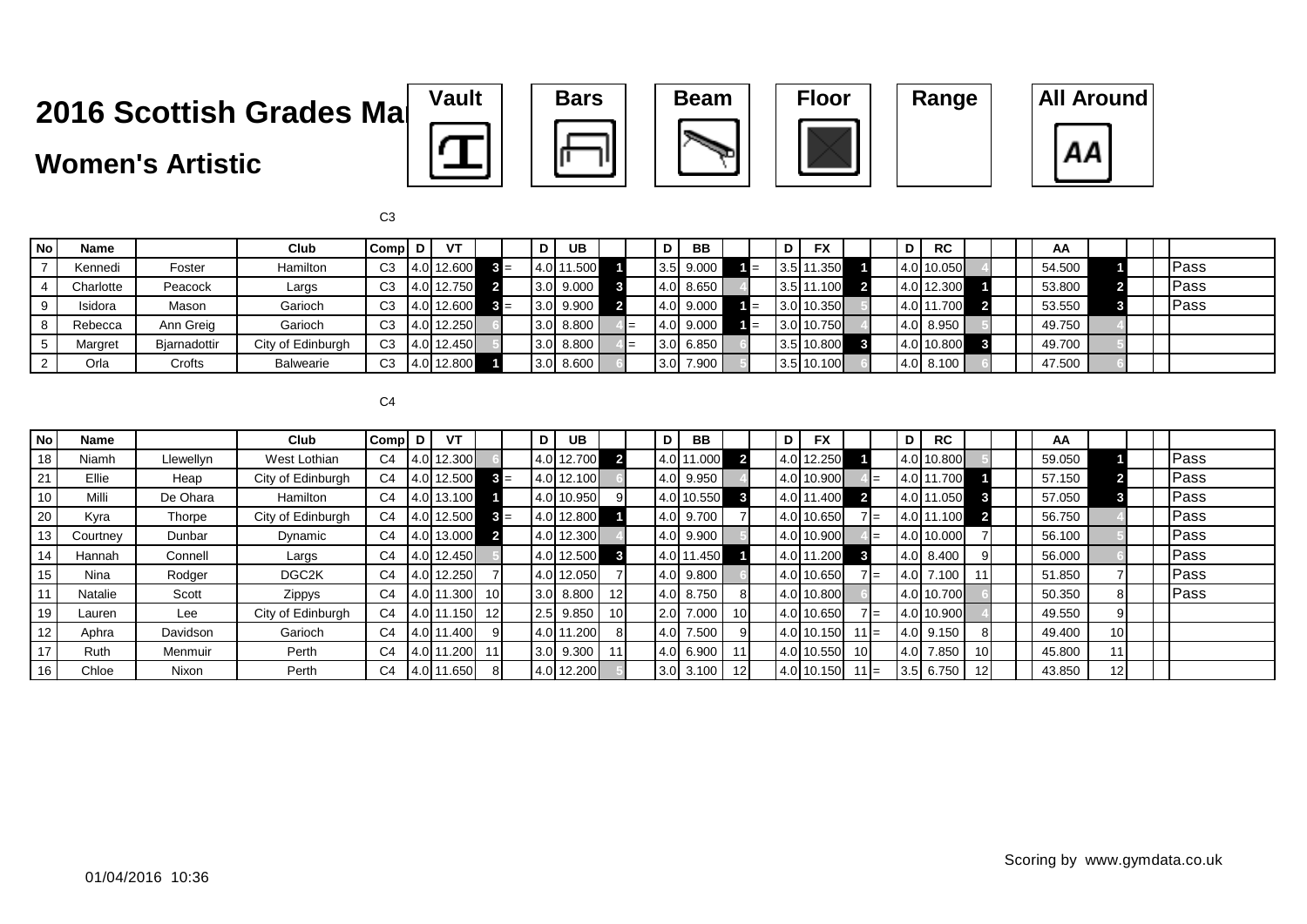### **Women's Artistic**











| No                   | Name      |              | Club              | Compl D        | VT         |       | D     | UB          |     | D   | <b>BB</b> |     | D | <b>FX</b>  |  | <b>RC</b><br>D |  |  | AA     |  |              |
|----------------------|-----------|--------------|-------------------|----------------|------------|-------|-------|-------------|-----|-----|-----------|-----|---|------------|--|----------------|--|--|--------|--|--------------|
|                      | Kennedi   | Foster       | Hamilton          | C <sub>3</sub> | 4.0 12.600 |       | 14.OH | 11.500      |     |     | 3.5 9.000 | 1 = |   | 3.5 11.350 |  | 4.0 10.050     |  |  | 54.500 |  | Pass         |
|                      | Charlotte | Peacock      | Largs             | C <sub>3</sub> | 4.0 12.750 |       |       | $3.0$ 9.000 | -67 | 4.0 | 8.650     |     |   | 3.5 11.100 |  | 4.0 12.300     |  |  | 53.800 |  | Pass         |
| 9                    | Isidora   | Mason        | Garioch           | C <sub>3</sub> | 4.0 12.600 | $3 =$ |       | $3.0$ 9.900 |     |     | 4.0 9.000 |     |   | 3.0 10.350 |  | 4.0 11.700     |  |  | 53.550 |  | <b>IPass</b> |
|                      | Rebecca   | Ann Greig    | Garioch           | C <sub>3</sub> | 4.0 12.250 |       |       | 3.0 8.800   |     | 4.0 | 9.000     |     |   | 3.0 10.750 |  | $ 4.0 $ 8.950  |  |  | 49.750 |  |              |
|                      | Margret   | Bjarnadottir | City of Edinburgh | C <sub>3</sub> | 4.0 12.450 |       |       | $3.0$ 8.800 |     |     | 3.0 6.850 |     |   | 3.5 10.800 |  | 4.0 10.800     |  |  | 49.700 |  |              |
| $\mathbf{2}^{\circ}$ | Orla      | Crofts       | Balwearie         | C <sub>3</sub> | 4.0 12.800 |       |       | $3.0$ 8.600 |     | 3.0 | 7.900     |     |   | 3.5 10.100 |  | $ 4.0 $ 8.100  |  |  | 47.500 |  |              |

 $C<sub>4</sub>$ 

| No | Name     |           | Club              | $Compl$ D      |       | VT         |                 | D | <b>UB</b>     |                 | D <sub>1</sub> | BB           |    | D | <b>FX</b>  |                 |       | D    | <b>RC</b>   |    | AA     |                 |  |      |
|----|----------|-----------|-------------------|----------------|-------|------------|-----------------|---|---------------|-----------------|----------------|--------------|----|---|------------|-----------------|-------|------|-------------|----|--------|-----------------|--|------|
| 18 | Niamh    | Llewellyn | West Lothian      | C <sub>4</sub> |       | 4.0 12.300 |                 |   | 4.0 12.700    | $\overline{2}$  | 4.011          | 11.000       |    |   | 4.0 12.250 |                 |       |      | 4.0 10.800  |    | 59.050 |                 |  | Pass |
| 21 | Ellie    | Heap      | City of Edinburgh | C <sub>4</sub> |       | 4.0 12.500 | $3 =$           |   | 4.0 12.100    |                 |                | 4.0 9.950    |    |   | 4.0 10.900 |                 |       |      | 4.0 11.700  |    | 57.150 |                 |  | Pass |
| 10 | Milli    | De Ohara  | Hamilton          | C4             |       | 4.0 13.100 |                 |   | 4.0 10.950    | 91              |                | 4.0 10.550   |    |   | 4.0 11.400 |                 |       |      | 4.0 11.050  |    | 57.050 |                 |  | Pass |
| 20 | Kyra     | Thorpe    | City of Edinburgh | C4             |       | 4.0 12.500 | $3 =$           |   | 4.0 12.800    |                 |                | 4.0 9.700    |    |   | 4.0 10.650 |                 | 7I=   |      | 4.0 11.100  |    | 56.750 |                 |  | Pass |
| 13 | Courtney | Dunbar    | Dynamic           | C <sub>4</sub> |       | 4.0 13.000 |                 |   | 4.0 12.300    |                 |                | 4.0 9.900    |    |   | 4.0 10.900 |                 |       |      | 4.0 10.000  |    | 56.100 |                 |  | Pass |
| 14 | Hannah   | Connell   | Largs             | C <sub>4</sub> |       | 4.0 12.450 |                 |   | 4.0 12.500    | 3               |                | 4.0 11.450   |    |   | 4.0 11.200 | $\vert 3 \vert$ |       |      | 4.0 8.400   |    | 56.000 |                 |  | Pass |
| 15 | Nina     | Rodger    | DGC2K             | C4             |       | 4.0 12.250 |                 |   | 012.050       |                 | 4.0            | 9.800        |    |   | 4.0 10.650 |                 | $7 =$ | 4.OI | 7.100       |    | 51.850 |                 |  | Pass |
| 11 | Natalie  | Scott     | Zippys            | C <sub>4</sub> |       | 4.0 11.300 | 10 I            |   | $3.0$ 8.800   | 12 <sup>1</sup> |                | 4.0 8.750    |    |   | 4.0 10.800 |                 |       |      | 4.0 10.700  |    | 50.350 | 81              |  | Pass |
| 19 | Lauren   | Lee       | City of Edinburgh | C <sub>4</sub> |       | 4.0 11.150 | 12 <sup>l</sup> |   | $ 2.5 $ 9.850 | 10 <sup>1</sup> |                | 2.0 7.000    | 10 |   | 4.0 10.650 |                 | $7 =$ |      | 4.0 10.900  |    | 49.550 | 9               |  |      |
| 12 | Aphra    | Davidson  | Garioch           | C <sub>4</sub> |       | 4.0 11.400 |                 |   | 4.0 11.200    | 81              | 4.0I           | 7.500        |    |   | 4.0 10.150 | $11 =$          |       |      | 4.0 9.150   |    | 49.400 | 10 <sup>1</sup> |  |      |
| 17 | Ruth     | Menmuir   | Perth             | C4             | 4.011 | 11.200     |                 |   | $3.0$ 9.300   | 11              |                | 4.0 6.900    | 11 |   | 4.0 10.550 | 10 <sup>1</sup> |       |      | 4.0 7.850   | 10 | 45.800 | 111             |  |      |
| 16 | Chloe    | Nixon     | Perth             | C4             |       | 4.0 11.650 |                 |   | 4.0 12.200    |                 |                | $3.0\,3.100$ | 12 |   | 4.0 10.150 | $11 =$          |       |      | $3.5$ 6.750 |    | 43.850 | 12 <sup>1</sup> |  |      |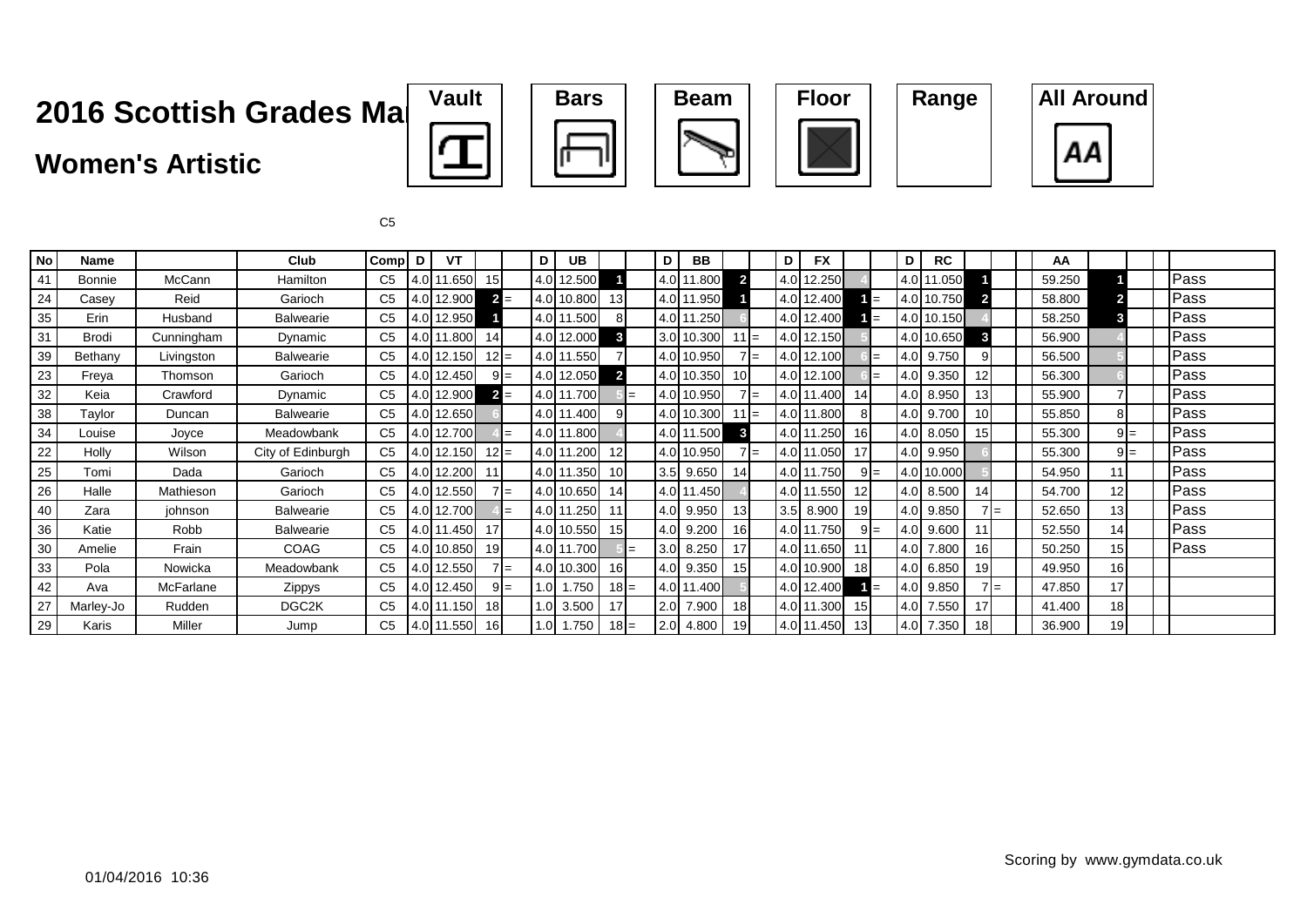### **Women's Artistic**









C5

| <b>No</b> | Name          |            | Club              | <b>Comp</b>    | D                | VT         |                 |       | D | <b>UB</b>   |                |     | D   | BB         |                |       | D      | <b>FX</b>  |                 |     | D     | <b>RC</b>   |                 |     | AA     |       |  |      |
|-----------|---------------|------------|-------------------|----------------|------------------|------------|-----------------|-------|---|-------------|----------------|-----|-----|------------|----------------|-------|--------|------------|-----------------|-----|-------|-------------|-----------------|-----|--------|-------|--|------|
| 41        | <b>Bonnie</b> | McCann     | Hamilton          | C <sub>5</sub> |                  | 4.0 11.650 | 15 <sup>1</sup> |       |   | 4.0 12.500  |                |     |     | 4.0 11.800 | $\overline{2}$ |       |        | 4.0 12.250 |                 |     |       | 4.0 11.050  |                 |     | 59.250 |       |  | Pass |
| 24        | Casey         | Reid       | Garioch           | C5             |                  | 4.0 12.900 |                 | $2 =$ |   | 4.0 10.800  | 13             |     |     | 4.0 11.950 |                |       |        | 4.0 12.400 |                 | $=$ |       | 4.0 10.750  |                 |     | 58.800 |       |  | Pass |
| 35        | Erin          | Husband    | Balwearie         | C <sub>5</sub> |                  | 4.0 12.950 |                 |       |   | 4.0 11.500  | 8 <sup>1</sup> |     |     | 4.0 11.250 |                |       |        | 4.0 12.400 |                 |     |       | 4.0 10.150  |                 |     | 58.250 |       |  | Pass |
| 31        | Brodi         | Cunningham | Dynamic           | C <sub>5</sub> | 4.0 <sub>l</sub> | 1.800      | 14              |       |   | 4.0 12.000  | $\mathbf{3}$   |     |     | 3.0 10.300 | $11 =$         |       |        | 4.0 12.150 |                 |     |       | 4.0 10.650  | 3               |     | 56.900 |       |  | Pass |
| 39        | Bethany       | Livingston | Balwearie         | C <sub>5</sub> |                  | 4.0 12.150 | $12 =$          |       |   | 4.0 11.550  |                |     |     | 4.0 10.950 |                | $7 =$ |        | 4.0 12.100 |                 |     |       | 4.0 9.750   |                 |     | 56.500 |       |  | Pass |
| 23        | Freya         | Thomson    | Garioch           | C <sub>5</sub> |                  | 4.0 12.450 |                 | $9 =$ |   | 4.0 12.050  | $\overline{2}$ |     |     | 4.0 10.350 |                |       |        | 4.0 12.100 |                 |     | 4.0   | 9.350       | 12              |     | 56.300 |       |  | Pass |
| 32        | Keia          | Crawford   | Dynamic           | C <sub>5</sub> |                  | 4.0 12.900 |                 | $2 =$ |   | 4.0 11.700  |                | $=$ |     | 4.0 10.950 |                | $7 =$ | 4.0 11 | 1.400      | 14              |     |       | 4.0 8.950   | 13              |     | 55.900 |       |  | Pass |
| 38        | Taylor        | Duncan     | Balwearie         | C <sub>5</sub> |                  | 4.0 12.650 |                 |       |   | 4.0 11.400  | 9              |     |     | 4.0 10.300 | $11 =$         |       |        | 4.0 11.800 | 81              |     |       | 4.0 9.700   | 10 <sup>1</sup> |     | 55.850 | 8     |  | Pass |
| 34        | Louise        | Joyce      | Meadowbank        | C <sub>5</sub> |                  | 4.0 12.700 |                 | $=$   |   | 4.0 11.800  |                |     |     | 4.0 11.500 | 3              |       |        | 4.0 11.250 | 16 <sup>1</sup> |     |       | 4.0 8.050   | 15 <sup>1</sup> |     | 55.300 | $9 =$ |  | Pass |
| 22        | Holly         | Wilson     | City of Edinburgh | C <sub>5</sub> |                  | 4.0 12.150 | $12 =$          |       |   | 4.0 11.200  | 12             |     |     | 4.0 10.950 |                | $7 =$ |        | 4.0 11.050 | 17              |     |       | 4.0 9.950   |                 |     | 55.300 | $9 =$ |  | Pass |
| 25        | Tomi          | Dada       | Garioch           | C <sub>5</sub> |                  | 4.0 12.200 | 11              |       |   | 4.0 11.350  | 10             |     |     | 3.5 9.650  | 14             |       |        | 4.0 11.750 | $9 =$           |     |       | 4.0 10.000  |                 |     | 54.950 | 11    |  | Pass |
| 26        | Halle         | Mathieson  | Garioch           | C <sub>5</sub> |                  | 4.0 12.550 |                 | $7 =$ |   | 4.0 10.650  | 14             |     |     | 4.0 11.450 |                |       |        | 4.0 11.550 | 12              |     |       | 4.0 8.500   | 14              |     | 54.700 | 12    |  | Pass |
| 40        | Zara          | johnson    | Balwearie         | C <sub>5</sub> |                  | 4.0 12.700 |                 | $=$   |   | 4.0 11.250  | 11             |     |     | 4.0 9.950  | 13             |       |        | 3.5 8.900  | 19              |     |       | 4.0 9.850   |                 | $=$ | 52.650 | 13    |  | Pass |
| 36        | Katie         | Robb       | Balwearie         | C <sub>5</sub> |                  | 4.0 11.450 | 17              |       |   | 4.0 10.550  | 15             |     | 4.0 | 9.200      | 16             |       |        | 4.0 11.750 | $9 =$           |     |       | 4.0 9.600   | 11              |     | 52.550 | 14    |  | Pass |
| 30        | Amelie        | Frain      | COAG              | C <sub>5</sub> |                  | 4.0 10.850 | 19              |       |   | 4.0 11.700  |                | $=$ | 3.0 | 8.250      | 17             |       |        | 4.0 11.650 | 11              |     |       | 4.0 7.800   | 16              |     | 50.250 | 15    |  | Pass |
| 33        | Pola          | Nowicka    | Meadowbank        | C <sub>5</sub> |                  | 4.0 12.550 |                 | $7 =$ |   | 4.0 10.300  | 16             |     |     | 4.0 9.350  | 15             |       |        | 4.0 10.900 | 18 <sup>l</sup> |     |       | $4.0$ 6.850 | 19              |     | 49.950 | 16    |  |      |
| 42        | Ava           | McFarlane  | Zippys            | C5             |                  | 4.0 12.450 |                 | $9 =$ |   | $1.0$ 1.750 | $18 =$         |     |     | 4.0 11.400 |                |       |        | 4.0 12.400 |                 | $=$ |       | 4.0 9.850   |                 | l=  | 47.850 | 17    |  |      |
| 27        | Marley-Jo     | Rudden     | DGC2K             | C <sub>5</sub> |                  | 4.0 11.150 | 18              |       |   | $1.0$ 3.500 | 17             |     | 2.0 | 7.900      | 18             |       |        | 4.0 11.300 | 15 <sup>1</sup> |     | 4.0I  | 7.550       | 17              |     | 41.400 | 18    |  |      |
| 29        | Karis         | Miller     | Jump              | C <sub>5</sub> |                  | 4.0 11.550 | 16              |       |   | $1.0$ 1.750 | $18 =$         |     |     | 2.0 4.800  |                |       |        | 4.0 11.450 | 13 <sup>l</sup> |     | 14.OI | 7.350       | 18 <sup>1</sup> |     | 36.900 | 19    |  |      |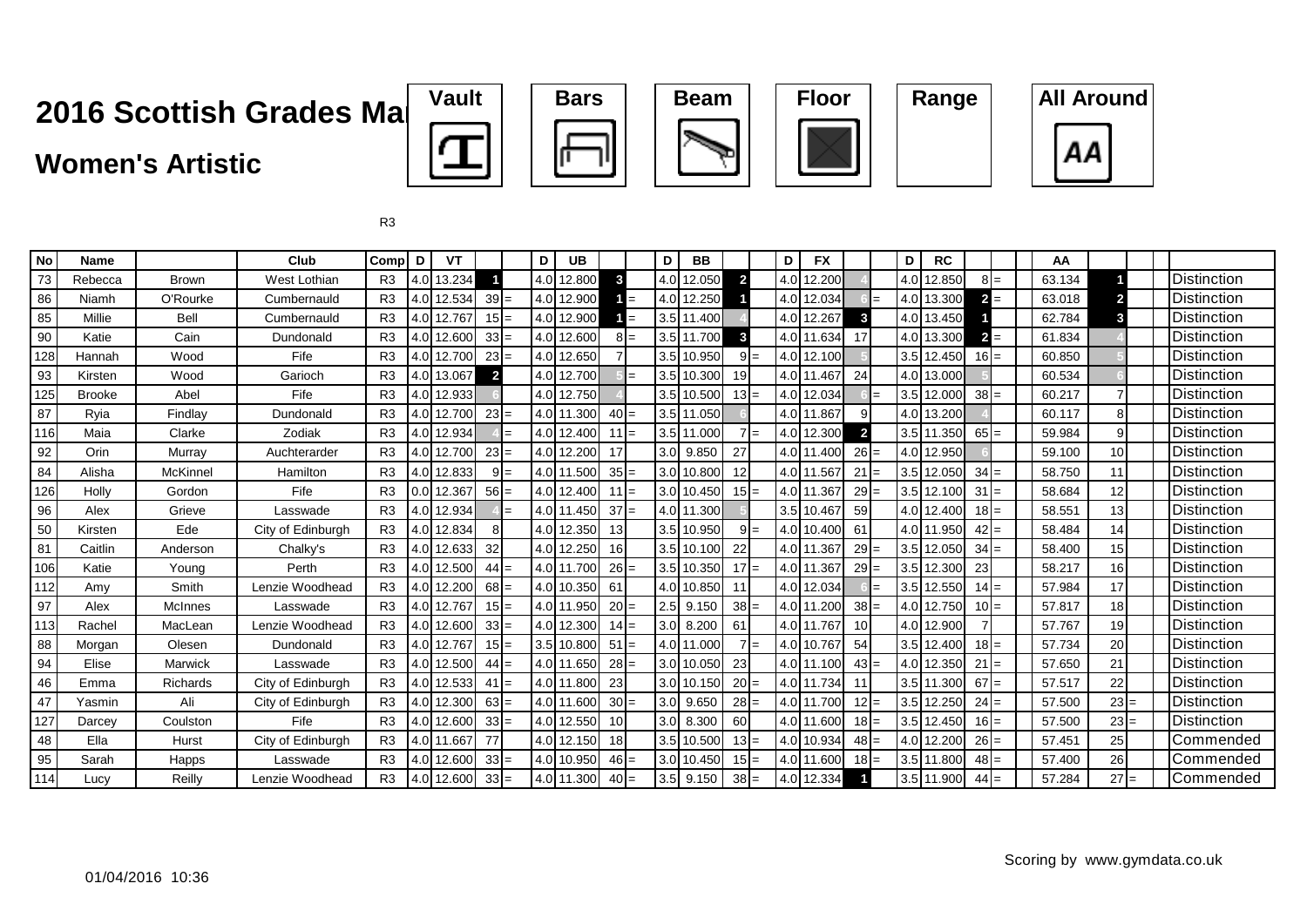### **Women's Artistic**









| <b>No</b> | <b>Name</b>   |                 | Club              | Comp           | D | VT         |                |       | D | <b>UB</b>  |                         |       | D | <b>BB</b>   |                         |       | D   | <b>FX</b>  |                 | D | <b>RC</b>  |        | AA     |                 |  |                    |
|-----------|---------------|-----------------|-------------------|----------------|---|------------|----------------|-------|---|------------|-------------------------|-------|---|-------------|-------------------------|-------|-----|------------|-----------------|---|------------|--------|--------|-----------------|--|--------------------|
| 73        | Rebecca       | <b>Brown</b>    | West Lothian      | R <sub>3</sub> |   | 4.0 13.234 |                |       |   | 4.0 12.800 | $\overline{\mathbf{3}}$ |       |   | 4.0 12.050  | $\overline{2}$          |       | 4.0 | 12.200     |                 |   | 4.0 12.850 | $8I=$  | 63.134 |                 |  | Distinction        |
| 86        | Niamh         | O'Rourke        | Cumbernauld       | R3             |   | 4.0 12.534 | $39 =$         |       |   | 4.0 12.900 |                         | $=$   |   | 4.0 12.250  |                         |       | 4.0 | 12.034     |                 |   | 4.0 13.300 | $2 =$  | 63.018 | 2               |  | <b>Distinction</b> |
| 85        | Millie        | Bell            | Cumbernauld       | R <sub>3</sub> |   | 4.0 12.767 | $15 =$         |       |   | 4.0 12.900 |                         | $=$   |   | 3.5 11.400  |                         |       | 4.0 | 12.267     | 3               |   | 4.0 13.450 |        | 62.784 | 3               |  | <b>Distinction</b> |
| 90        | Katie         | Cain            | Dundonald         | R3             |   | 4.0 12.600 | $33 =$         |       |   | 4.0 12.600 |                         | $8I=$ |   | 3.5 11.700  | $\overline{\mathbf{3}}$ |       |     | 4.0 11.634 | 17              |   | 4.0 13.300 | $=$    | 61.834 |                 |  | Distinction        |
| 128       | Hannah        | Wood            | Fife              | R <sub>3</sub> |   | 4.0 12.700 | $23 =$         |       |   | 4.0 12.650 |                         |       |   | 3.5 10.950  |                         | $9 =$ | 4.0 | 12.100     |                 |   | 3.5 12.450 | $16 =$ | 60.850 |                 |  | <b>Distinction</b> |
| 93        | Kirsten       | Wood            | Garioch           | R <sub>3</sub> |   | 4.0 13.067 | $\overline{2}$ |       |   | 4.0 12.700 |                         | $=$   |   | 3.5 10.300  | 19                      |       | 4.0 | 11.467     | 24              |   | 4.0 13.000 |        | 60.534 |                 |  | Distinction        |
| 125       | <b>Brooke</b> | Abel            | Fife              | R <sub>3</sub> |   | 4.0 12.933 |                |       |   | 4.0 12.750 |                         |       |   | 3.5 10.500  | $13 =$                  |       | 4.0 | 12.034     |                 |   | 3.5 12.000 | $38 =$ | 60.217 |                 |  | <b>Distinction</b> |
| 87        | Ryia          | Findlay         | Dundonald         | R3             |   | 4.0 12.700 | $23 =$         |       |   | 4.0 11.300 | $40 =$                  |       |   | 3.5 11.050  |                         |       | 4.0 | 11.867     | 91              |   | 4.0 13.200 |        | 60.117 | 8               |  | <b>Distinction</b> |
| 116       | Maia          | Clarke          | Zodiak            | R <sub>3</sub> |   | 4.0 12.934 |                | $=$   |   | 4.0 12.400 | $11 =$                  |       |   | 3.5 11.000  |                         | $7 =$ | 4.0 | 12.300     | $\overline{2}$  |   | 3.5 11.350 | $65 =$ | 59.984 | 9               |  | <b>Distinction</b> |
| 92        | Orin          | Murray          | Auchterarder      | R3             |   | 4.0 12.700 | $23 =$         |       |   | 4.0 12.200 | 17                      |       |   | 3.0 9.850   | 27                      |       | 4.0 | 11.400     | $26 =$          |   | 4.0 12.950 |        | 59.100 | 10 <sup>1</sup> |  | <b>Distinction</b> |
| 84        | Alisha        | McKinnel        | Hamilton          | R3             |   | 4.0 12.833 |                | $9 =$ |   | 4.0 11.500 | $35 =$                  |       |   | 3.0 10.800  | 12                      |       |     | 4.0 11.567 | $21 =$          |   | 3.5 12.050 | $34 =$ | 58.750 | 11              |  | <b>Distinction</b> |
| 126       | Holly         | Gordon          | Fife              | R3             |   | 0.0 12.367 | $56 =$         |       |   | 4.0 12.400 | $11 =$                  |       |   | 3.0 10.450  | $15 =$                  |       | 4.0 | 11.367     | $29 =$          |   | 3.5 12.100 | $31 =$ | 58.684 | 12              |  | <b>Distinction</b> |
| 96        | Alex          | Grieve          | Lasswade          | R <sub>3</sub> |   | 4.0 12.934 |                |       |   | 4.0 11.450 | $37 =$                  |       |   | 4.0 11.300  |                         |       |     | 3.5 10.467 | 59              |   | 4.0 12.400 | $18 =$ | 58.551 | 13              |  | <b>Distinction</b> |
| 50        | Kirsten       | Ede             | City of Edinburgh | R <sub>3</sub> |   | 4.0 12.834 |                |       |   | 4.0 12.350 | 13                      |       |   | 3.5 10.950  |                         | $9 =$ |     | 4.0 10.400 | 61              |   | 4.0 11.950 | $42 =$ | 58.484 | 14              |  | Distinction        |
| 81        | Caitlin       | Anderson        | Chalky's          | R <sub>3</sub> |   | 4.0 12.633 | 32             |       |   | 4.0 12.250 | 16                      |       |   | 3.5 10.100  | 22                      |       | 4.0 | 11.367     | $29 =$          |   | 3.5 12.050 | $34 =$ | 58.400 | 15              |  | <b>Distinction</b> |
| 106       | Katie         | Young           | Perth             | R3             |   | 4.0 12.500 | $44 =$         |       |   | 4.0 11.700 | $26 =$                  |       |   | 3.5 10.350  | $17 =$                  |       | 4.0 | 11.36      | $29 =$          |   | 3.5 12.300 | 23     | 58.217 | 16 <sup>1</sup> |  | Distinction        |
| 112       | Amy           | Smith           | Lenzie Woodhead   | R3             |   | 4.0 12.200 | $68 =$         |       |   | 4.0 10.350 | 61                      |       |   | 4.0 10.850  | 11                      |       | 4.0 | 12.034     |                 |   | 3.5 12.550 | $14 =$ | 57.984 | 17 <sup>1</sup> |  | <b>Distinction</b> |
| 97        | Alex          | <b>McInnes</b>  | Lasswade          | R3             |   | 4.0 12.767 | $15 =$         |       |   | 4.0 11.950 | $20 =$                  |       |   | $2.5$ 9.150 | $38 =$                  |       | 4.0 | 11.200     | $38 =$          |   | 4.0 12.750 | $10 =$ | 57.817 | 18              |  | Distinction        |
| 113       | Rachel        | MacLean         | Lenzie Woodhead   | R3             |   | 4.0 12.600 | $33 =$         |       |   | 4.0 12.300 | $14 =$                  |       |   | 3.0 8.200   | 61                      |       | 4.0 | 11.76      | 10 <sup>1</sup> |   | 4.0 12.900 |        | 57.767 | 19              |  | Distinction        |
| 88        | Morgan        | Olesen          | Dundonald         | R <sub>3</sub> |   | 4.0 12.767 | $15 =$         |       |   | 3.5 10.800 | $51 =$                  |       |   | 4.0 11.000  |                         | $7 =$ | 4.0 | 10.767     | 54              |   | 3.5 12.400 | $18 =$ | 57.734 | 20              |  | Distinction        |
| 94        | Elise         | Marwick         | Lasswade          | R <sub>3</sub> |   | 4.0 12.500 | $44 =$         |       |   | 4.0 11.650 | $28 =$                  |       |   | 3.0 10.050  | 23                      |       | 4.0 | 11.100     | $43 =$          |   | 4.0 12.350 | $21 =$ | 57.650 | 21              |  | <b>Distinction</b> |
| 46        | Emma          | <b>Richards</b> | City of Edinburgh | R3             |   | 4.0 12.533 | $41 =$         |       |   | 4.0 11.800 | 23                      |       |   | 3.0 10.150  | $20 =$                  |       |     | 4.0 11.734 | 11              |   | 3.5 11.300 | $67 =$ | 57.517 | 22              |  | <b>Distinction</b> |
| 47        | Yasmin        | Ali             | City of Edinburgh | R <sub>3</sub> |   | 4.0 12.300 | $63 =$         |       |   | 4.0 11.600 | $30 =$                  |       |   | 3.0 9.650   | $28 =$                  |       | 4.0 | 11.700     | $12 =$          |   | 3.5 12.250 | $24 =$ | 57.500 | $23 =$          |  | <b>Distinction</b> |
| 127       | Darcey        | Coulston        | Fife              | R3             |   | 4.0 12.600 | $33 =$         |       |   | 4.0 12.550 | 10                      |       |   | 3.0 8.300   | 60                      |       | 4.0 | 11.600     | $18 =$          |   | 3.5 12.450 | $16 =$ | 57.500 | $23 =$          |  | Distinction        |
| 48        | Ella          | Hurst           | City of Edinburgh | R3             |   | 4.0 11.667 | 77             |       |   | 4.0 12.150 | 18                      |       |   | 3.5 10.500  | $13 =$                  |       | 4.0 | 10.934     | $48 =$          |   | 4.0 12.200 | $26 =$ | 57.451 | 25              |  | Commended          |
| 95        | Sarah         | Happs           | Lasswade          | R3             |   | 4.0 12.600 | $33 =$         |       |   | 4.0 10.950 | $46 =$                  |       |   | 3.0 10.450  | $15 =$                  |       | 4.0 | 11.600     | $18 =$          |   | 3.5 11.800 | $48 =$ | 57.400 | 26              |  | Commended          |
| 114       | Lucy          | Reilly          | Lenzie Woodhead   | R <sub>3</sub> |   | 4.0 12.600 | $33 =$         |       |   | 4.0 11.300 | $40 =$                  |       |   | $3.5$ 9.150 | $38 =$                  |       | 4.0 | 12.334     |                 |   | 3.5 11.900 | $44 =$ | 57.284 | $27 =$          |  | Commended          |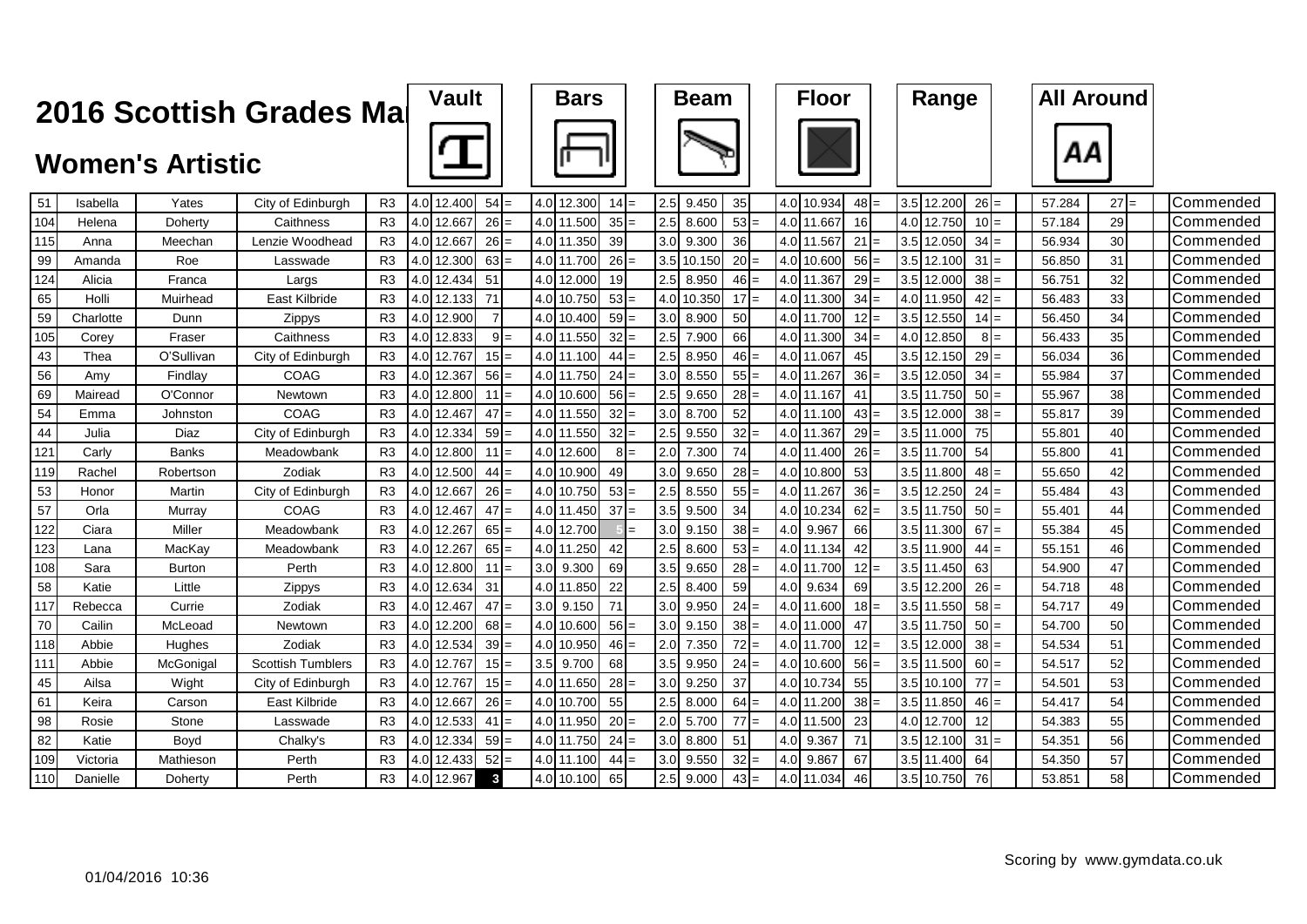|     |           |                         | 2016 Scottish Grades Mai |                |     | <b>Vault</b> |                |  | <b>Bars</b> |        |       |     | <b>Beam</b> |        |     | <b>Floor</b> |        | Range      |        |       | <b>All Around</b> |        |                   |
|-----|-----------|-------------------------|--------------------------|----------------|-----|--------------|----------------|--|-------------|--------|-------|-----|-------------|--------|-----|--------------|--------|------------|--------|-------|-------------------|--------|-------------------|
|     |           | <b>Women's Artistic</b> |                          |                |     |              |                |  |             |        |       |     |             |        |     |              |        |            |        |       | ΑА                |        |                   |
| 51  | Isabella  | Yates                   | City of Edinburgh        | R <sub>3</sub> |     | 4.0 12.400   | $54 =$         |  | 4.0 12.300  | $14 =$ |       | 2.5 | 9.450       | 35     |     | 4.0 10.934   | $48 =$ | 3.5 12.200 | $26 =$ |       | 57.284            | $27 =$ | Commended         |
| 104 | Helena    | Doherty                 | Caithness                | R <sub>3</sub> | 4.0 | 12.667       | 26:            |  | 4.0 11.500  | $35 =$ |       | 2.5 | 8.600       | $53 =$ | 4.0 | 11.667       | 16     | 4.0 12.750 | $10 =$ |       | 57.184            | 29     | Commended         |
| 115 | Anna      | Meechan                 | Lenzie Woodhead          | R <sub>3</sub> | 4.0 | 12.667       | 26             |  | 4.0 11.350  | 39     |       | 3.0 | 9.300       | 36     | 4.0 | 11.567       | 21     | 3.5 12.050 | $34 =$ |       | 56.934            | 30     | Commended         |
| 99  | Amanda    | Roe                     | Lasswade                 | R <sub>3</sub> | 4.0 | 12.300       | $63 =$         |  | 4.0 11.700  | $26 =$ |       | 3.5 | 10.150      | $20 =$ | 4.0 | 10.600       | 56     | 3.5 12.100 | 31     |       | 56.850            | 31     | Commended         |
| 124 | Alicia    | Franca                  | Largs                    | R <sub>3</sub> | 4.0 | 12.434       | 51             |  | 4.0 12.000  | 19     |       | 2.5 | 8.950       | $46 =$ | 4.0 | 11.367       | 29     | 3.5 12.000 | $38 =$ |       | 56.751            | 32     | Commended         |
| 65  | Holli     | Muirhead                | East Kilbride            | R <sub>3</sub> | 4.0 | 12.133       | 71             |  | 4.0 10.750  | $53 =$ |       | 4.0 | 10.350      | $17 =$ |     | 4.0 11.300   | 34     | 4.0 11.950 | $42 =$ |       | 56.483            | 33     | Commended         |
| 59  | Charlotte | Dunn                    | Zippys                   | R <sub>3</sub> |     | 4.0 12.900   | $\overline{7}$ |  | 4.0 10.400  | $59 =$ |       | 3.0 | 8.900       | 50     |     | 4.0 11.700   | 12     | 3.5 12.550 | $14 =$ |       | 56.450            | 34     | Commended         |
| 105 | Corev     | Fraser                  | Caithness                | R <sub>3</sub> |     | 4.0 12.833   | 9!             |  | 4.0 11.550  | $32 =$ |       | 2.5 | 7.900       | 66     |     | 4.0 11.300   | 34     | 4.0 12.850 |        | $8 =$ | 56.433            | 35     | Commended         |
| 43  | Thea      | O'Sullivan              | City of Edinburgh        | R <sub>3</sub> |     | 4.0 12.767   | 15             |  | 4.0 11.100  | $44 =$ |       | 2.5 | 8.950       | $46 =$ |     | 4.0 11.067   | 45     | 3.5 12.150 | $29$ : |       | 56.034            | 36     | lCommended        |
| 56  | Amy       | Findlay                 | COAG                     | R <sub>3</sub> |     | 4.0 12.367   | $56 =$         |  | 4.0 11.750  | $24 =$ |       | 3.0 | 8.550       | $55 =$ |     | 4.0 11.267   | 36     | 3.5 12.050 | $34 =$ |       | 55.984            | 37     | <b>Commended</b>  |
| 69  | Mairead   | O'Connor                | Newtown                  | R <sub>3</sub> |     | 4.0 12.800   | 11             |  | 4.0 10.600  | $56 =$ |       | 2.5 | 9.650       | $28 =$ |     | 4.0 11.167   | 41     | 3.5 11.750 | 50     |       | 55.967            | 38     | Commended         |
| 54  | Emma      | Johnston                | COAG                     | R <sub>3</sub> |     | 4.0 12.467   | $47$ :         |  | 4.0 11.550  | $32 =$ |       | 3.0 | 8.700       | 52     |     | 4.0 11.100   | 43     | 3.5 12.000 | 38     |       | 55.817            | 39     | Commended         |
| 44  | Julia     | Diaz                    | City of Edinburgh        | R <sub>3</sub> |     | 4.0 12.334   | 59:            |  | 4.0 11.550  | $32 =$ |       | 2.5 | 9.550       | $32 =$ |     | 4.0 11.367   | 29     | 3.5 11.000 | 75     |       | 55.801            | 40     | Commended         |
| 121 | Carly     | <b>Banks</b>            | Meadowbank               | R <sub>3</sub> |     | 4.0 12.800   | $11 =$         |  | 4.0 12.600  |        | $8 =$ | 2.0 | 7.300       | 74     |     | 4.0 11.400   | $26 =$ | 3.5 11.700 | 54     |       | 55.800            | 41     | Commended         |
| 119 | Rachel    | Robertson               | Zodiak                   | R <sub>3</sub> |     | 4.0 12.500   | $44 =$         |  | 4.0 10.900  | 49     |       | 3.0 | 9.650       | $28 =$ |     | 4.0 10.800   | 53     | 3.5 11.800 | 48:    |       | 55.650            | 42     | <b>ICommended</b> |
| 53  | Honor     | Martin                  | City of Edinburgh        | R <sub>3</sub> |     | 4.0 12.667   | $26 =$         |  | 4.0 10.750  | $53 =$ |       | 2.5 | 8.550       | $55 =$ |     | 4.0 11.267   | $36 =$ | 3.5 12.250 | $24 =$ |       | 55.484            | 43     | Commended         |
| 57  | Orla      | Murray                  | COAG                     | R <sub>3</sub> |     | 4.0 12.467   | $47 =$         |  | 4.0 11.450  | $37 =$ |       | 3.5 | 9.500       | 34     |     | 4.0 10.234   | 62     | 3.5 11.750 | 50     |       | 55.401            | 44     | Commended         |
| 122 | Ciara     | Miller                  | Meadowbank               | R <sub>3</sub> |     | 4.0 12.267   | $65 =$         |  | 4.0 12.700  |        |       | 3.0 | 9.150       | $38 =$ |     | 4.0 9.967    | 66     | 3.5 11.300 | $67 =$ |       | 55.384            | 45     | Commended         |
| 123 | Lana      | MacKay                  | Meadowbank               | R <sub>3</sub> |     | 4.0 12.267   | 65             |  | 4.0 11.250  | 42     |       | 2.5 | 8.600       | $53 =$ |     | 4.0 11.134   | 42     | 3.5 11.900 | 44     |       | 55.151            | 46     | <b>Commended</b>  |
| 108 | Sara      | <b>Burton</b>           | Perth                    | R <sub>3</sub> |     | 4.0 12.800   | $11 =$         |  | 3.0 9.300   | 69     |       | 3.5 | 9.650       | $28 =$ |     | 4.0 11.700   | $12 =$ | 3.5 11.450 | 63     |       | 54.900            | 47     | Commended         |
| 58  | Katie     | Little                  | Zippys                   | R <sub>3</sub> |     | 4.0 12.634   | 31             |  | 4.0 11.850  | 22     |       | 2.5 | 8.400       | 59     |     | 4.0 9.634    | 69     | 3.5 12.200 | 26     |       | 54.718            | 48     | Commended         |
| 117 | Rebecca   | Currie                  | Zodiak                   | R <sub>3</sub> |     | 4.0 12.467   | 47             |  | $3.0$ 9.150 | 71     |       | 3.0 | 9.950       | $24 =$ |     | 4.0 11.600   | $18 =$ | 3.5 11.550 | $58 =$ |       | 54.717            | 49     | Commended         |
| 70  | Cailin    | McLeoad                 | Newtown                  | R <sub>3</sub> |     | 4.0 12.200   | 68             |  | 4.0 10.600  | $56 =$ |       | 3.0 | 9.150       | $38 =$ |     | 4.0 11.000   | 47     | 3.5 11.750 | 50     |       | 54.700            | 50     | Commended         |
| 118 | Abbie     | Hughes                  | Zodiak                   | R <sub>3</sub> |     | 4.0 12.534   | 39             |  | 4.0 10.950  | $46$ = |       | 2.0 | 7.350       | $72 =$ |     | 4.0 11.700   | 12     | 3.5 12.000 | 38     |       | 54.534            | 51     | Commended         |
| 111 | Abbie     | McGonigal               | <b>Scottish Tumblers</b> | R <sub>3</sub> | 4.0 | 12.767       | 15             |  | 3.5 9.700   | 68     |       | 3.5 | 9.950       | $24 =$ | 4.0 | 10.600       | 56     | 3.5 11.500 | $60$ : |       | 54.517            | 52     | Commended         |
| 45  | Ailsa     | Wight                   | City of Edinburgh        | R <sub>3</sub> |     | 4.0 12.767   | 15             |  | 4.0 11.650  | 28:    |       | 3.0 | 9.250       | 37     | 4.0 | 10.734       | 55     | 3.5 10.100 | 77     |       | 54.501            | 53     | Commended         |
| 61  | Keira     | Carson                  | East Kilbride            | R <sub>3</sub> |     | 4.0 12.667   | 26             |  | 4.0 10.700  | 55     |       | 2.5 | 8.000       | $64 =$ | 4.0 | 11.200       | 38     | 3.5 11.850 | 46     |       | 54.417            | 54     | Commended         |
| 98  | Rosie     | Stone                   | Lasswade                 | R <sub>3</sub> |     | 4.0 12.533   | 41             |  | 4.0 11.950  | $20 =$ |       | 2.0 | 5.700       | $77 =$ | 4.0 | 11.500       | 23     | 4.0 12.700 | 12     |       | 54.383            | 55     | Commended         |
| 82  | Katie     | Boyd                    | Chalky's                 | R <sub>3</sub> |     | 4.0 12.334   | $59 =$         |  | 4.0 11.750  | $24 =$ |       | 3.0 | 8.800       | 51     | 4.0 | 9.367        | 71     | 3.5 12.100 | 31     |       | 54.351            | 56     | Commended         |
| 109 | Victoria  | Mathieson               | Perth                    | R <sub>3</sub> |     | 4.0 12.433   | 52             |  | 4.0 11.100  | $44 =$ |       | 3.0 | 9.550       | $32 =$ | 4.0 | 9.867        | 67     | 3.5 11.400 | 64     |       | 54.350            | 57     | Commended         |
| 110 | Danielle  | Doherty                 | Perth                    | R <sub>3</sub> |     | 4.0 12.967   | $\mathbf{3}$   |  | 4.0 10.100  | 65     |       | 2.5 | 9.000       | $43 =$ |     | 4.0 11.034   | 46     | 3.5 10.750 | 76     |       | 53.851            | 58     | Commended         |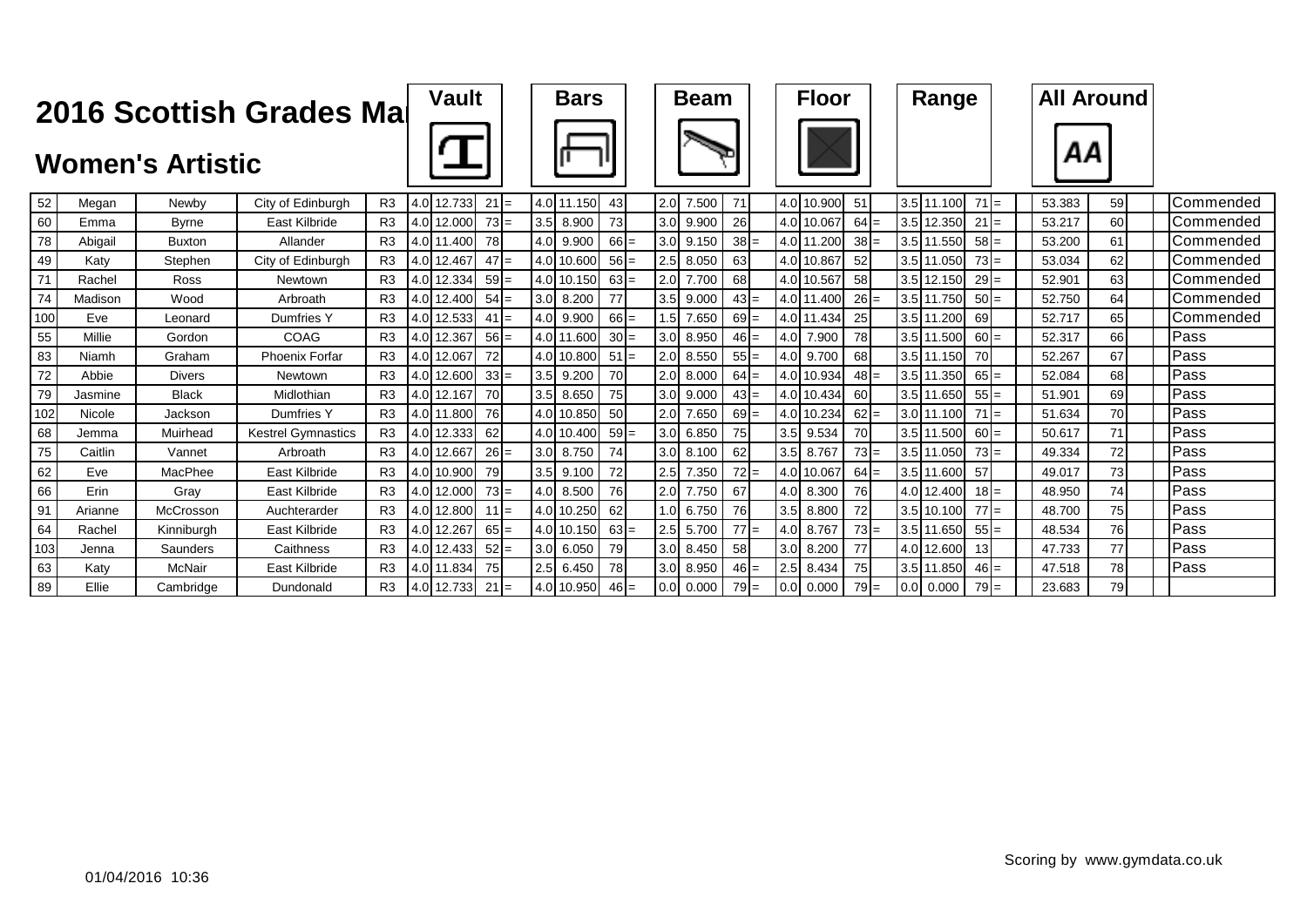|     |         |                         | 2016 Scottish Grades Mal  |                | <b>Vault</b> |        |  | <b>Bars</b> |        |     | <b>Beam</b> |           |     | <b>Floor</b> |        | Range       |        |  | <b>All Around</b> |    |                    |
|-----|---------|-------------------------|---------------------------|----------------|--------------|--------|--|-------------|--------|-----|-------------|-----------|-----|--------------|--------|-------------|--------|--|-------------------|----|--------------------|
|     |         | <b>Women's Artistic</b> |                           |                |              |        |  |             |        |     |             |           |     |              |        |             |        |  | ΑА                |    |                    |
| 52  | Megan   | Newby                   | City of Edinburgh         | R <sub>3</sub> | 4.0 12.733   | $21 =$ |  | 4.0 11.150  | 43     | 2.0 | 7.500       | 71        |     | 4.0 10.900   | 51     | 3.5 11.100  | $71 =$ |  | 53.383            | 59 | Commended          |
| 60  | Emma    | <b>Byrne</b>            | East Kilbride             | R3             | 4.0 12.000   | $73 =$ |  | 3.5 8.900   | 73     | 3.0 | 9.900       | 26        |     | 4.0 10.067   | $64 =$ | 3.5 12.350  | $21 =$ |  | 53.217            | 60 | <b>I</b> Commended |
| 78  | Abigail | <b>Buxton</b>           | Allander                  | R <sub>3</sub> | 4.0 11.400   | 78     |  | 4.0 9.900   | $66 =$ | 3.0 | 9.150       | $38 =$    |     | 4.0 11.200   | $38 =$ | 3.5 11.550  | $58 =$ |  | 53.200            | 61 | Commended          |
| 49  | Katv    | Stephen                 | City of Edinburgh         | R <sub>3</sub> | 4.0 12.467   | $47 =$ |  | 4.0 10.600  | $56 =$ | 2.5 | 8.050       | 63        |     | 4.0 10.867   | 52     | 3.5 11.050  | $73 =$ |  | 53.034            | 62 | <b>Commended</b>   |
| 71  | Rachel  | Ross                    | Newtown                   | R <sub>3</sub> | 4.0 12.334   | $59 =$ |  | 4.0 10.150  | $63 =$ | 2.0 | 7.700       | 68        |     | 4.0 10.567   | 58     | 3.5 12.150  | $29 =$ |  | 52.901            | 63 | <b>Commended</b>   |
| 74  | Madison | Wood                    | Arbroath                  | R <sub>3</sub> | 4.0 12.400   | $54 =$ |  | 3.0 8.200   | 77     | 3.5 | 9.000       | $43 =$    |     | 4.0 11.400   | $26 =$ | 3.5 11.750  | $50 =$ |  | 52.750            | 64 | Commended          |
| 100 | Eve     | Leonard                 | Dumfries Y                | R <sub>3</sub> | 4.0 12.533   | $41 =$ |  | 4.0 9.900   | $66 =$ | 1.5 | 7.650       | $69 =$    |     | 4.0 11.434   | 25     | 3.5 11.200  | 69     |  | 52.717            | 65 | Commended          |
| 55  | Millie  | Gordon                  | COAG                      | R <sub>3</sub> | 4.0 12.367   | $56 =$ |  | 4.0 11.600  | $30 =$ | 3.0 | 8.950       | $46 =$    | 4.0 | 7.900        | 78     | 3.5 11.500  | $60 =$ |  | 52.317            | 66 | <b>IPass</b>       |
| 83  | Niamh   | Graham                  | <b>Phoenix Forfar</b>     | R <sub>3</sub> | 4.0 12.067   | 72     |  | 4.0 10.800  | $51 =$ | 2.0 | 8.550       | $55 =$    |     | 4.0 9.700    | 68     | 3.5 11.150  | 70     |  | 52.267            | 67 | Pass               |
| 72  | Abbie   | <b>Divers</b>           | Newtown                   | R <sub>3</sub> | 4.0 12.600   | $33 =$ |  | $3.5$ 9.200 | 70     | 2.0 | 8.000       | $64 =$    |     | 4.0 10.934   | $48 =$ | 3.5 11.350  | $65 =$ |  | 52.084            | 68 | Pass               |
| 79  | Jasmine | <b>Black</b>            | Midlothian                | R <sub>3</sub> | 4.0 12.167   | 70     |  | $3.5$ 8.650 | 75     | 3.0 | 9.000       | $43 =$    |     | 4.0 10.434   | 60     | 3.5 11.650  | $55 =$ |  | 51.901            | 69 | Pass               |
| 102 | Nicole  | Jackson                 | Dumfries Y                | R <sub>3</sub> | 4.0 11.800   | 76     |  | 4.0 10.850  | 50     | 2.0 | 7.650       | $69 =$    |     | 4.0 10.234   | $62 =$ | 3.0 11.100  | $71 =$ |  | 51.634            | 70 | Pass               |
| 68  | Jemma   | Muirhead                | <b>Kestrel Gymnastics</b> | R <sub>3</sub> | 4.0 12.333   | 62     |  | 4.0 10.400  | $59 =$ | 3.0 | 6.850       | 75        |     | 3.5 9.534    | 70     | 3.5 11.500  | $60 =$ |  | 50.617            | 71 | Pass               |
| 75  | Caitlin | Vannet                  | Arbroath                  | R <sub>3</sub> | 4.0 12.667   | $26 =$ |  | 3.0 8.750   | 74     | 3.0 | 8.100       | 62        | 3.5 | 8.767        | $73 =$ | 3.5 11.050  | $73 =$ |  | 49.334            | 72 | Pass               |
| 62  | Eve     | MacPhee                 | East Kilbride             | R <sub>3</sub> | 4.0 10.900   | 79     |  | $3.5$ 9.100 | 72     | 2.5 | 7.350       | $72 =$    |     | 4.0 10.067   | $64 =$ | 3.5 11.600  | 57     |  | 49.017            | 73 | Pass               |
| 66  | Erin    | Grav                    | East Kilbride             | R <sub>3</sub> | 4.0 12.000   | $73 =$ |  | 4.0 8.500   | 76     | 2.0 | 7.750       | 67        | 4.0 | 8.300        | 76     | 4.0 12.400  | $18 =$ |  | 48.950            | 74 | lPass              |
| 91  | Arianne | McCrosson               | Auchterarder              | R <sub>3</sub> | 4.0 12.800   | $11 =$ |  | 4.0 10.250  | 62     | 1.0 | 6.750       | <b>76</b> |     | $3.5$ 8.800  | 72     | 3.5 10.100  | $77 =$ |  | 48.700            | 75 | Pass               |
| 64  | Rachel  | Kinniburgh              | East Kilbride             | R <sub>3</sub> | 4.0 12.267   | $65 =$ |  | 4.0 10.150  | $63 =$ | 2.5 | 5.700       | $77 =$    | 4.0 | 8.767        | $73 =$ | 3.5 11.650  | $55 =$ |  | 48.534            | 76 | <b>IPass</b>       |
| 103 | Jenna   | Saunders                | Caithness                 | R <sub>3</sub> | 4.0 12.433   | $52 =$ |  | $3.0$ 6.050 | 79     | 3.0 | 8.450       | 58        | 3.0 | 8.200        | 77     | 4.0 12.600  | 13     |  | 47.733            | 77 | Pass               |
| 63  | Katv    | McNair                  | East Kilbride             | R <sub>3</sub> | 4.0 11.834   | 75     |  | $2.5$ 6.450 | 78     | 3.0 | 8.950       | $46 =$    | 2.5 | 8.434        | 75     | 3.5 11.850  | $46 =$ |  | 47.518            | 78 | Pass               |
| 89  | Ellie   | Cambridge               | Dundonald                 | R <sub>3</sub> | 4.0 12.733   | $21 =$ |  | 4.0 10.950  | $46 =$ | 0.0 | 0.000       | $79 =$    |     | $0.0$ 0.000  | $79 =$ | $0.0$ 0.000 | $79 =$ |  | 23.683            | 79 |                    |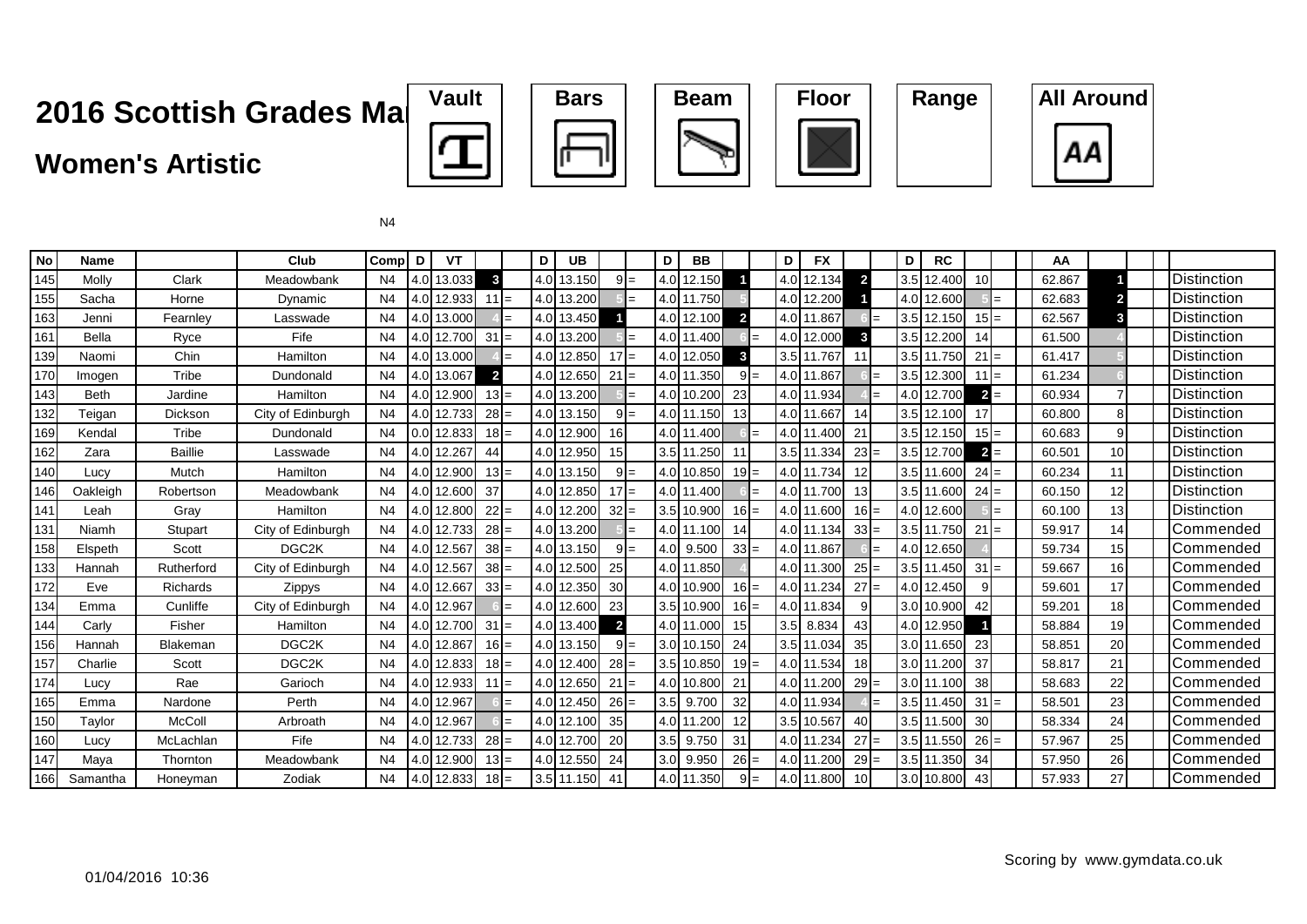### **Women's Artistic**









| <b>No</b> | <b>Name</b> |                 | Club              | Comp D         |      | VT         |                |     | D   | UB.        |                 |       | D   | BB         |                |        | D   | <b>FX</b>  |                 | D   | <b>RC</b>  |        |     | AA     |    |   |                      |
|-----------|-------------|-----------------|-------------------|----------------|------|------------|----------------|-----|-----|------------|-----------------|-------|-----|------------|----------------|--------|-----|------------|-----------------|-----|------------|--------|-----|--------|----|---|----------------------|
| 145       | Molly       | Clark           | Meadowbank        | N4             |      | 4.0 13.033 | 3              |     |     | 4.0 13.150 |                 | $9 =$ |     | 4.0 12.150 |                |        |     | 4.0 12.134 | $\overline{2}$  | 3.5 | 12.400     | 10     |     | 62.867 |    |   | <b>I</b> Distinction |
| 155       | Sacha       | Horne           | Dynamic           | N <sub>4</sub> |      | 4.0 12.933 | $11 =$         |     |     | 4.0 13.200 |                 |       |     | 4.0 11.750 |                |        |     | 4.0 12.200 |                 | 4.0 | 12.600     |        | $=$ | 62.683 |    |   | <b>IDistinction</b>  |
| 163       | Jenni       | Fearnley        | Lasswade          | N <sub>4</sub> |      | 4.0 13.000 |                |     |     | 4.0 13.450 |                 |       |     | 4.0 12.100 | $\overline{2}$ |        |     | 4.0 11.867 |                 |     | 3.5 12.150 | $15 =$ |     | 62.567 | 3  |   | <b>Distinction</b>   |
| 161       | Bella       | Ryce            | Fife              | N4             |      | 4.0 12.700 | $31 =$         |     |     | 4.0 13.200 |                 | $=$   |     | 4.0 11.400 |                | $=$    |     | 4.0 12.000 | 3               | 3.5 | 12.200     | 14     |     | 61.500 |    |   | <b>I</b> Distinction |
| 139       | Naomi       | Chin            | Hamilton          | N <sub>4</sub> |      | 4.0 13.000 |                |     |     | 4.0 12.850 | $17 =$          |       |     | 4.0 12.050 | $\mathbf{3}$   |        |     | 3.5 11.767 | 11              |     | 3.5 11.750 | 21     | $=$ | 61.417 |    |   | <b>IDistinction</b>  |
| 170       | Imogen      | Tribe           | Dundonald         | N <sub>4</sub> |      | 4.0 13.067 | $\overline{2}$ |     |     | 4.0 12.650 | $21 =$          |       |     | 4.0 11.350 |                | $9 =$  |     | 4.0 11.867 |                 | 3.5 | 12.300     | 11     | $=$ | 61.234 |    |   | <b>Distinction</b>   |
| 143       | <b>Beth</b> | Jardine         | Hamilton          | N <sub>4</sub> |      | 4.0 12.900 | $13 =$         |     |     | 4.0 13.200 |                 |       |     | 4.0 10.200 | 23             |        |     | 4.0 11.934 |                 | 4.0 | 12.700     | $2 =$  |     | 60.934 |    |   | <b>I</b> Distinction |
| 132       | Teigan      | Dickson         | City of Edinburgh | N4             |      | 4.0 12.733 | $28 =$         |     |     | 4.0 13.150 |                 | $9 =$ |     | 4.0 11.150 | 13             |        |     | 4.0 11.667 | 14              | 3.5 | 12.100     | 17     |     | 60.800 | 8  |   | <b>IDistinction</b>  |
| 169       | Kendal      | Tribe           | Dundonald         | N <sub>4</sub> |      | 0.0 12.833 | $18 =$         |     | 4.0 | 12.900     | 16              |       |     | 4.0 11.400 |                | $=$    |     | 4.0 11.400 | 21              |     | 3.5 12.150 | $15 =$ |     | 60.683 |    | 9 | <b>IDistinction</b>  |
| 162       | Zara        | <b>Baillie</b>  | Lasswade          | N4             |      | 4.0 12.267 | 44             |     |     | 4.0 12.950 | 15              |       |     | 3.5 11.250 | 11             |        |     | 3.5 11.334 | $23 =$          |     | 3.5 12.700 | $2 =$  |     | 60.501 | 10 |   | <b>I</b> Distinction |
| 140       | Lucy        | Mutch           | Hamilton          | N <sub>4</sub> |      | 4.0 12.900 | $13 =$         |     |     | 4.0 13.150 |                 | $9 =$ |     | 4.0 10.850 |                | $19 =$ |     | 4.0 11.734 | 12              |     | 3.5 11.600 | $24 =$ |     | 60.234 | 11 |   | Distinction          |
| 146       | Oakleigh    | Robertson       | Meadowbank        | N <sub>4</sub> |      | 4.0 12.600 | 37             |     |     | 4.0 12.850 | $17 =$          |       |     | 4.0 11.400 |                | $=$    |     | 4.0 11.700 | 13              |     | 3.5 11.600 | $24 =$ |     | 60.150 | 12 |   | <b>Distinction</b>   |
| 141       | Leah        | Grav            | Hamilton          | N <sub>4</sub> |      | 4.0 12.800 | $22 =$         |     |     | 4.0 12.200 | 32              | $=$   |     | 3.5 10.900 |                | $16 =$ |     | 4.0 11.600 | $16 =$          | 4.0 | 12.600     |        | $=$ | 60.100 | 13 |   | <b>IDistinction</b>  |
| 131       | Niamh       | Stupart         | City of Edinburgh | N4             |      | 4.0 12.733 | $28 =$         |     | 4.0 | 13.200     |                 |       |     | 4.0 11.100 | 14             |        |     | 4.0 11.134 | $33 =$          | 3.5 | 11.750     | 21     | $=$ | 59.917 | 14 |   | Commended            |
| 158       | Elspeth     | Scott           | DGC <sub>2K</sub> | N <sub>4</sub> |      | 4.0 12.567 | $38 =$         |     |     | 4.0 13.150 |                 | $9 =$ | 4.0 | 9.500      | $33 =$         |        |     | 4.0 11.867 |                 |     | 4.0 12.650 |        |     | 59.734 | 15 |   | Commended            |
| 133       | Hannah      | Rutherford      | City of Edinburgh | N <sub>4</sub> |      | 4.0 12.567 | $38 =$         |     |     | 4.0 12.500 | 25              |       |     | 4.0 11.850 |                |        |     | 4.0 11.300 | $25 =$          |     | 3.5 11.450 | 31     | $=$ | 59.667 | 16 |   | Commended            |
| 172       | Eve         | <b>Richards</b> | Zippys            | N <sub>4</sub> |      | 4.0 12.667 | $33 =$         |     | 4.0 | 12.350     | 30 <sup>°</sup> |       |     | 4.0 10.900 |                | $16 =$ |     | 4.0 11.234 | $27 =$          | 4.0 | 12.450     | 9      |     | 59.601 | 17 |   | <b>Commended</b>     |
| 134       | Emma        | Cunliffe        | City of Edinburgh | N <sub>4</sub> |      | 4.0 12.967 |                |     | 4.0 | 12.600     | 23              |       |     | 3.5 10.900 |                | $16 =$ |     | 4.0 11.834 | 9               |     | 3.0 10.900 | 42     |     | 59.201 | 18 |   | <b>Commended</b>     |
| 144       | Carly       | Fisher          | Hamilton          | N <sub>4</sub> |      | 4.0 12.700 | $31 =$         |     |     | 4.0 13.400 | $\overline{2}$  |       |     | 4.0 11.000 | 15             |        | 3.5 | 8.834      | 43              |     | 4.0 12.950 |        |     | 58.884 | 19 |   | Commended            |
| 156       | Hannah      | Blakeman        | DGC <sub>2K</sub> | N4             |      | 4.0 12.867 | $16 =$         |     |     | 4.0 13.150 |                 | $9 =$ |     | 3.0 10.150 | 24             |        |     | 3.5 11.034 | 35              |     | 3.0 11.650 | 23     |     | 58.851 | 20 |   | <b>Commended</b>     |
| 157       | Charlie     | Scott           | DGC <sub>2K</sub> | N <sub>4</sub> |      | 4.0 12.833 | $18 =$         |     |     | 4.0 12.400 | $28 =$          |       |     | 3.5 10.850 | $19 =$         |        |     | 4.0 11.534 | 18              |     | 3.0 11.200 | 37     |     | 58.817 | 21 |   | <b>Commended</b>     |
| 174       | Lucy        | Rae             | Garioch           | N <sub>4</sub> |      | 4.0 12.933 | $11 =$         |     | 4.0 | 12.650     | 21              |       | 4.0 | 10.800     | 21             |        |     | 4.0 11.200 | 29:             |     | 3.0 11.100 | 38     |     | 58.683 | 22 |   | Commended            |
| 165       | Emma        | Nardone         | Perth             | N <sub>4</sub> |      | 4.0 12.967 |                | $=$ |     | 4.0 12.450 | $26 =$          |       |     | 3.5 9.700  | 32             |        |     | 4.0 11.934 |                 |     | 3.5 11.450 | 31     | l=  | 58.501 | 23 |   | ICommended           |
| 150       | Taylor      | McColl          | Arbroath          | N4             |      | 4.0 12.967 |                |     |     | 4.0 12.100 | 35              |       |     | 4.0 11.200 | 12             |        |     | 3.5 10.567 | 40              |     | 3.5 11.500 | 30     |     | 58.334 | 24 |   | <b>ICommended</b>    |
| 160       | Lucy        | McLachlan       | Fife              | N <sub>4</sub> | 4.0I | 12.733     | $28 =$         |     |     | 4.0 12.700 | 20              |       |     | 3.5 9.750  | 31             |        |     | 4.0 11.234 | $27 =$          |     | 3.5 11.550 | $26 =$ |     | 57.967 | 25 |   | Commended            |
| 147       | Maya        | Thornton        | Meadowbank        | N <sub>4</sub> |      | 4.0 12.900 | $13 =$         |     |     | 4.0 12.550 | 24              |       |     | 3.0 9.950  |                | $26 =$ |     | 4.0 11.200 | $29 =$          |     | 3.5 11.350 | 34     |     | 57.950 | 26 |   | ICommended           |
| 166       | Samantha    | Honeyman        | Zodiak            | N4             |      | 4.0 12.833 | $18 =$         |     |     | 3.5 11.150 | 41              |       |     | 4.0 11.350 |                |        |     | 4.0 11.800 | 10 <sup>1</sup> |     | 3.0 10.800 | 43     |     | 57.933 | 27 |   | <b>Commended</b>     |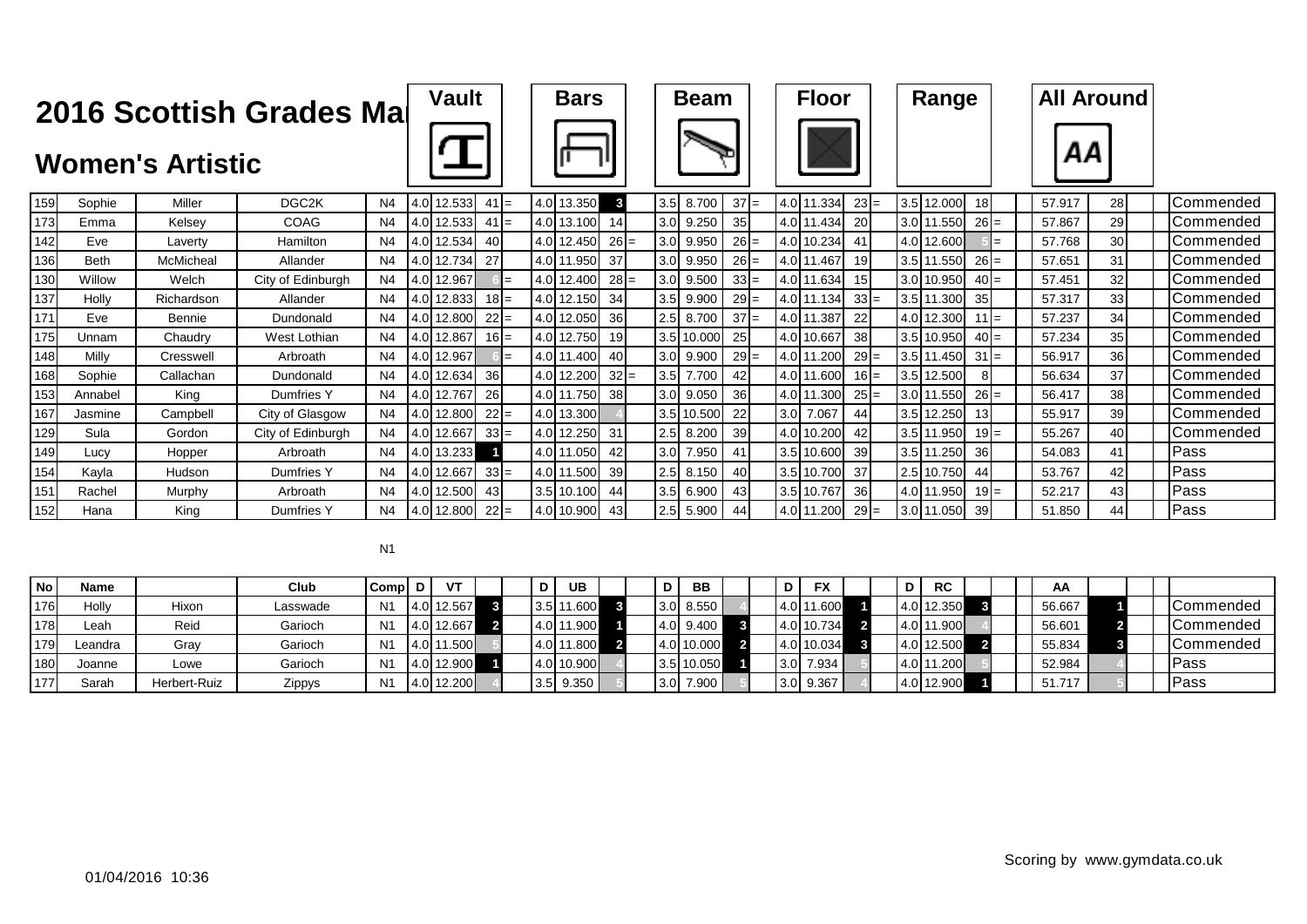|     |             | <b>Women's Artistic</b> | 2016 Scottish Grades Mal |                | <b>Vault</b> |           |  | <b>Bars</b>   |                 |                  | <b>Beam</b> |        | <b>Floor</b> |           | Range      |    |        | <b>All Around</b><br>ΑА |    |                  |
|-----|-------------|-------------------------|--------------------------|----------------|--------------|-----------|--|---------------|-----------------|------------------|-------------|--------|--------------|-----------|------------|----|--------|-------------------------|----|------------------|
| 159 | Sophie      | Miller                  | DGC <sub>2K</sub>        | N <sub>4</sub> | 4.0 12.533   | $41 =$    |  | 4.0 13.350    | 3               | 3.5              | 8.700       | $37 =$ | 4.0 11.334   | $23 =$    | 3.5 12.000 | 18 |        | 57.917                  | 28 | Commended        |
| 173 | Emma        | Kelsey                  | COAG                     | N <sub>4</sub> | 4.0 12.533   | $41 =$    |  | 4.0 13.100    | 14              | 3.0              | 9.250       | 35     | 4.0 11.434   | 20        | 3.0 11.550 |    | $26 =$ | 57.867                  | 29 | Commended        |
| 142 | Eve         | Laverty                 | Hamilton                 | N <sub>4</sub> | 4.0 12.534   | 40 I      |  | 4.0 12.450    | $26 =$          | 3.0              | 9.950       | $26 =$ | 4.0 10.234   | 41        | 4.0 12.600 |    |        | 57.768                  | 30 | <b>Commended</b> |
| 136 | <b>Beth</b> | McMicheal               | Allander                 | N <sub>4</sub> | 4.0 12.734   | 27        |  | 4.0 11.950    | 37              | 3.0              | 9.950       | $26 =$ | 4.0 11.467   | 19        | 3.5 11.550 |    | $26 =$ | 57.651                  | 31 | Commended        |
| 130 | Willow      | Welch                   | City of Edinburgh        | N <sub>4</sub> | 4.0 12.967   |           |  | 4.0 12.400    | $28 =$          | 3.0              | 9.500       | $33 =$ | 4.0 11.634   | 15        | 3.0 10.950 |    | $40 =$ | 57.451                  | 32 | Commended        |
| 137 | Holly       | Richardson              | Allander                 | N <sub>4</sub> | 4.0 12.833   | $18 =$    |  | 4.0 12.150    | 34              | 3.5              | 9.900       | $29 =$ | 4.0 11.134   | $33 =$    | 3.5 11.300 | 35 |        | 57.317                  | 33 | Commended        |
| 171 | Eve         | Bennie                  | Dundonald                | N4             | 4.0 12.800   | $22 =$    |  | 4.0 12.050    | 36              | 2.5              | 8.700       | $37 =$ | 4.0 11.387   | 22        | 4.0 12.300 |    | $11 =$ | 57.237                  | 34 | <b>Commended</b> |
| 175 | Unnam       | Chaudry                 | West Lothian             | N <sub>4</sub> | 4.0 12.867   | $16 =$    |  | 4.0 12.750    | 19 <sup>l</sup> |                  | 3.5 10.000  | 25     | 4.0 10.667   | 38        | 3.5 10.950 |    | $40 =$ | 57.234                  | 35 | Commended        |
| 148 | Milly       | Cresswell               | Arbroath                 | N <sub>4</sub> | 4.0 12.967   |           |  | 4.0 11.400    | 40              | 3.0 <sub>l</sub> | 9.900       | $29 =$ | 4.0 11.200   | $29 =$    | 3.5 11.450 |    | $31 =$ | 56.917                  | 36 | Commended        |
| 168 | Sophie      | Callachan               | Dundonald                | N <sub>4</sub> | 4.0 12.634   | 36        |  | 4.0 12.200    | $32 =$          | 3.5              | 7.700       | 42     | 4.0 11.600   | $16 =$    | 3.5 12.500 |    | 8      | 56.634                  | 37 | <b>Commended</b> |
| 153 | Annabel     | King                    | Dumfries Y               | N <sub>4</sub> | 4.0 12.767   | <b>26</b> |  | 4.0 11.750    | 38 <sup>l</sup> | 3.0              | 9.050       | 36     | 4.0 11.300   | $25 =$    | 3.0 11.550 |    | $26 =$ | 56.417                  | 38 | <b>Commended</b> |
| 167 | Jasmine     | Campbell                | City of Glasgow          | N <sub>4</sub> | 4.0 12.800   | $22 =$    |  | 4.0 13.300    |                 |                  | 3.5 10.500  | 22     | 3.0 7.067    | 44        | 3.5 12.250 | 13 |        | 55.917                  | 39 | Commended        |
| 129 | Sula        | Gordon                  | City of Edinburgh        | N4             | 4.0 12.667   | $33 =$    |  | 4.0 12.250 31 |                 | 2.5              | 8.200       | 39     | 4.0 10.200   | 42        | 3.5 11.950 |    | $19 =$ | 55.267                  | 40 | Commended        |
| 149 | Lucy        | Hopper                  | Arbroath                 | N <sub>4</sub> | 4.0 13.233   |           |  | 4.0 11.050    | 42              | 3.0              | 7.950       | 41     | 3.5 10.600   | 39        | 3.5 11.250 | 36 |        | 54.083                  | 41 | Pass             |
| 154 | Kayla       | Hudson                  | <b>Dumfries Y</b>        | N <sub>4</sub> | 4.0 12.667   | $33 =$    |  | 4.0 11.500    | 39              | 2.5              | 8.150       | 40     | 3.5 10.700   | 37        | 2.5 10.750 | 44 |        | 53.767                  | 42 | Pass             |
| 151 | Rachel      | Murphy                  | Arbroath                 | N <sub>4</sub> | 4.0 12.500   | 431       |  | 3.5 10.100    | 44              | 3.5              | 6.900       | 43     | 3.5 10.767   | <b>36</b> | 4.0 11.950 |    | $19 =$ | 52.217                  | 43 | Pass             |
| 152 | Hana        | King                    | Dumfries Y               | N <sub>4</sub> | 4.0 12.800   | $22 =$    |  | 4.0 10.900 43 |                 | 2.5              | 5.900       | 44     | 4.0 11.200   | $29 =$    | 3.0 11.050 | 39 |        | 51.850                  | 44 | Pass             |

| <b>No</b> | Name    |              | Club     | ICompl D       | V          |  | D | <b>UB</b>   |  | DΙ  | <b>BB</b>  |  | D | <b>FX</b>   |  | <b>RC</b>  |  | <b>AA</b> |  |                   |
|-----------|---------|--------------|----------|----------------|------------|--|---|-------------|--|-----|------------|--|---|-------------|--|------------|--|-----------|--|-------------------|
| 176       | Holly   | Hixon        | Lasswade | N <sub>1</sub> | 4.0 12.567 |  |   | 3.5 11.600  |  | 3.0 | 8.550      |  |   | 4.0 11.600  |  | 4.0 12.350 |  | 56.667    |  | Commended         |
| 178       | ∟eah    | Reid         | Garioch  | N <sub>1</sub> | 4.0 12.667 |  |   | 4.0 11.900  |  | 4.0 | 9.400      |  |   | 4.0 10.734  |  | 4.0 11.900 |  | 56.601    |  | <b>ICommended</b> |
| 179       | Leandra | Grav         | Garioch  | N <sub>1</sub> | 4.0 11.500 |  |   | 4.0 11.800  |  |     | 4.0 10.000 |  |   | 4.0 10.034  |  | 4.0 12.500 |  | 55.834    |  | Commended         |
| 180       | Joanne  | Lowe         | Garioch  | N <sub>1</sub> | 4.0 12.900 |  |   | 4.0 10.900  |  |     | 3.5 10.050 |  |   | $3.0$ 7.934 |  | 4.0 11.200 |  | 52.984    |  | <b>IPass</b>      |
| 1771      | Sarah   | Herbert-Ruiz | Zippys   | N <sub>1</sub> | 4.0 12.200 |  |   | $3.5$ 9.350 |  |     | 3.0 7.900  |  |   | 3.0 9.367   |  | 4.0 12.900 |  | 51.717    |  | Pass              |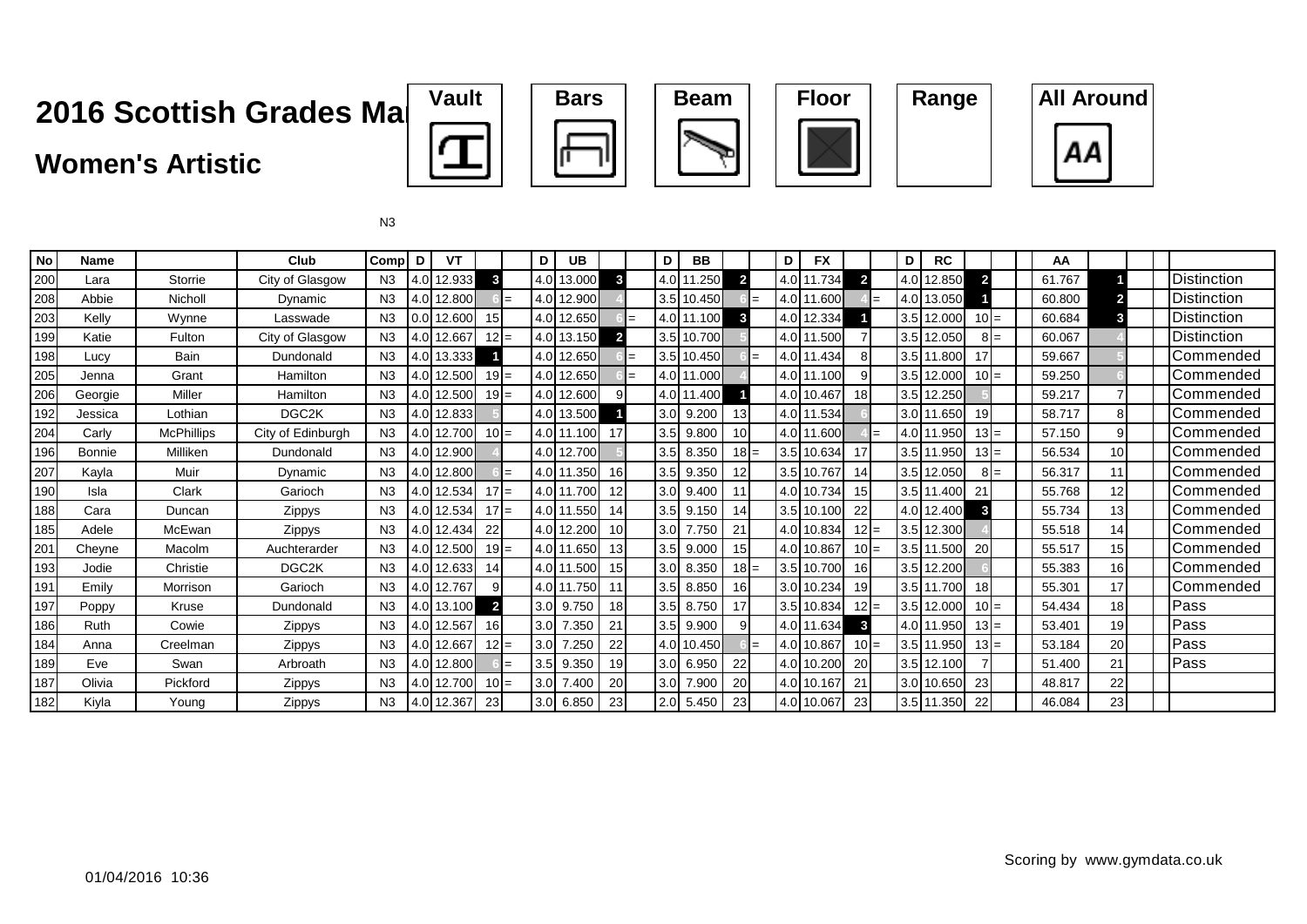### **Women's Artistic**







| <b>No</b> | Name          |                   | Club               | Comp   D       | VT         |                 |     | D   | <b>UB</b>   |                |     | D                | <b>BB</b>   |                |     | D                | <b>FX</b>  |                 | D | <b>RC</b>  |              | AA     |                 |                    |
|-----------|---------------|-------------------|--------------------|----------------|------------|-----------------|-----|-----|-------------|----------------|-----|------------------|-------------|----------------|-----|------------------|------------|-----------------|---|------------|--------------|--------|-----------------|--------------------|
| 200       | Lara          | Storrie           | City of Glasgow    | N3             | 4.0 12.933 | $\mathbf{3}$    |     |     | 4.0 13.000  | $\mathbf{3}$   |     |                  | 4.0 11.250  | $\overline{2}$ |     |                  | 4.0 11.734 | $\overline{2}$  |   | 4.0 12.850 | $\mathbf{z}$ | 61.767 |                 | Distinction        |
| 208       | Abbie         | Nicholl           | Dynamic            | N <sub>3</sub> | 4.0 12.800 |                 | $=$ |     | 4.0 12.900  |                |     |                  | 3.5 10.450  |                | $=$ |                  | 4.0 11.600 |                 |   | 4.0 13.050 |              | 60.800 |                 | <b>Distinction</b> |
| 203       | Kelly         | Wynne             | Lasswade           | N <sub>3</sub> | 0.0 12.600 | 15 <sup>1</sup> |     |     | 4.0 12.650  |                | $=$ |                  | 4.0 11.100  | $\mathbf{3}$   |     | 4.0 <sub>l</sub> | 12.334     |                 |   | 3.5 12.000 | $10l =$      | 60.684 | 3               | <b>Distinction</b> |
| 199       | Katie         | Fulton            | City of Glasgow    | N <sub>3</sub> | 4.0 12.667 | $12 =$          |     |     | 4.0 13.150  | $\overline{2}$ |     |                  | 3.5 10.700  |                |     |                  | 4.0 11.500 |                 |   | 3.5 12.050 | $8I =$       | 60.067 |                 | <b>Distinction</b> |
| 198       | Lucy          | <b>Bain</b>       | Dundonald          | N3             | 4.0 13.333 |                 |     |     | 4.0 12.650  |                | $=$ |                  | 3.5 10.450  |                | $=$ | 4.0              | 11.434     | 81              |   | 3.5 11.800 |              | 59.667 |                 | Commended          |
| 205       | Jenna         | Grant             | Hamilton           | N <sub>3</sub> | 4.0 12.500 | $19 =$          |     |     | 4.0 12.650  |                | $=$ |                  | 4.0 11.000  |                |     |                  | 4.0 11.100 | 9               |   | 3.5 12.000 | $10 =$       | 59.250 |                 | Commended          |
| 206       | Georgie       | Miller            | Hamilton           | N <sub>3</sub> | 4.0 12.500 | $19 =$          |     |     | 4.0 12.600  | 9              |     |                  | 4.0 11.400  |                |     |                  | 4.0 10.467 | 18 <sup>l</sup> |   | 3.5 12.250 |              | 59.217 |                 | Commended          |
| 192       | Jessica       | Lothian           | DGC <sub>2</sub> K | N3             | 4.0 12.833 |                 |     |     | 4.0 13.500  |                |     |                  | 3.0 9.200   | 13             |     |                  | 4.0 11.534 |                 |   | 3.0 11.650 | 19           | 58.717 | 8               | Commended          |
| 204       | Carly         | <b>McPhillips</b> | City of Edinburgh  | N <sub>3</sub> | 4.0 12.700 | $10 =$          |     |     | 4.0 11.100  | 17             |     |                  | 3.5 9.800   | 10             |     |                  | 4.0 11.600 |                 |   | 4.0 11.950 | $13 =$       | 57.150 | 9               | Commended          |
| 196       | <b>Bonnie</b> | Milliken          | Dundonald          | N3             | 4.0 12.900 |                 |     |     | 4.0 12.700  |                |     |                  | 3.5 8.350   | $18 =$         |     |                  | 3.5 10.634 | 17              |   | 3.5 11.950 | $13I =$      | 56.534 | 10 <sup>1</sup> | Commended          |
| 207       | Kayla         | Muir              | Dynamic            | N <sub>3</sub> | 4.0 12.800 |                 | $=$ |     | 4.0 11.350  | 16             |     |                  | 3.5 9.350   | 12             |     |                  | 3.5 10.767 | 14              |   | 3.5 12.050 | $8I =$       | 56.317 | 11              | Commended          |
| 190       | Isla          | Clark             | Garioch            | N3             | 4.0 12.534 | $17 =$          |     |     | 4.0 11.700  | 12             |     |                  | 3.0 9.400   | 11             |     |                  | 4.0 10.734 | 15              |   | 3.5 11.400 | 21           | 55.768 | 12              | Commended          |
| 188       | Cara          | Duncan            | Zippys             | N <sub>3</sub> | 4.0 12.534 | $17 =$          |     |     | 4.0 11.550  | 14             |     |                  | 3.5 9.150   | 14             |     |                  | 3.5 10.100 | 22              |   | 4.0 12.400 | 3            | 55.734 | 13              | Commended          |
| 185       | Adele         | McEwan            | <b>Zippys</b>      | N <sub>3</sub> | 4.0 12.434 | 22              |     |     | 4.0 12.200  | 10             |     | 3.0              | 7.750       | 21             |     |                  | 4.0 10.834 | $12 =$          |   | 3.5 12.300 |              | 55.518 | 14              | Commended          |
| 201       | Cheyne        | Macolm            | Auchterarder       | N <sub>3</sub> | 4.0 12.500 | $19 =$          |     |     | 4.0 11.650  | 13             |     | 3.5              | 9.000       | 15             |     |                  | 4.0 10.867 | $10 =$          |   | 3.5 11.500 | 20           | 55.517 | 15              | Commended          |
| 193       | Jodie         | Christie          | DGC2K              | N3             | 4.0 12.633 | 14              |     |     | 4.0 11.500  | 15             |     | 3.0 <sub>l</sub> | 8.350       | $18 =$         |     |                  | 3.5 10.700 | 16I             |   | 3.5 12.200 |              | 55.383 | 16              | Commended          |
| 191       | Emily         | Morrison          | Garioch            | N3             | 4.0 12.767 |                 |     |     | 4.0 11.750  | 11             |     |                  | 3.5 8.850   | 16             |     |                  | 3.0 10.234 | 19              |   | 3.5 11.700 | 18           | 55.301 | 17              | Commended          |
| 197       | Poppy         | Kruse             | Dundonald          | N3             | 4.0 13.100 | $\overline{2}$  |     |     | $3.0$ 9.750 | 18             |     |                  | $3.5$ 8.750 | 17             |     |                  | 3.5 10.834 | $12 =$          |   | 3.5 12.000 | $10 =$       | 54.434 | 18              | Pass               |
| 186       | Ruth          | Cowie             | Zippys             | N3             | 4.0 12.567 | 16 <sup>l</sup> |     |     | 3.0 7.350   | 21             |     |                  | 3.5 9.900   |                |     |                  | 4.0 11.634 | $\mathbf{3}$    |   | 4.0 11.950 | $13 =$       | 53.401 | 19              | Pass               |
| 184       | Anna          | Creelman          | Zippys             | N3             | 4.0 12.667 | $12 =$          |     | 3.0 | 7.250       | 22             |     |                  | 4.0 10.450  |                | $=$ |                  | 4.0 10.867 | $10 =$          |   | 3.5 11.950 | $13I =$      | 53.184 | 20              | Pass               |
| 189       | Eve           | Swan              | Arbroath           | N3             | 4.0 12.800 |                 | $=$ |     | $3.5$ 9.350 | 19             |     |                  | 3.0 6.950   | 22             |     |                  | 4.0 10.200 | <b>20</b>       |   | 3.5 12.100 |              | 51.400 | 21              | Pass               |
| 187       | Olivia        | Pickford          | Zippys             | N <sub>3</sub> | 4.0 12.700 | $10 =$          |     |     | 3.0 7.400   | 20             |     | 3.0              | 7.900       | 20             |     |                  | 4.0 10.167 | 21              |   | 3.0 10.650 | 23           | 48.817 | 22              |                    |
| 182       | Kiyla         | Young             | <b>Zippys</b>      | N3             | 4.0 12.367 | 23              |     | 3.0 | 6.850       | 23             |     |                  | 2.0 5.450   | 23             |     |                  | 4.0 10.067 | 23              |   | 3.5 11.350 | 22           | 46.084 | 23              |                    |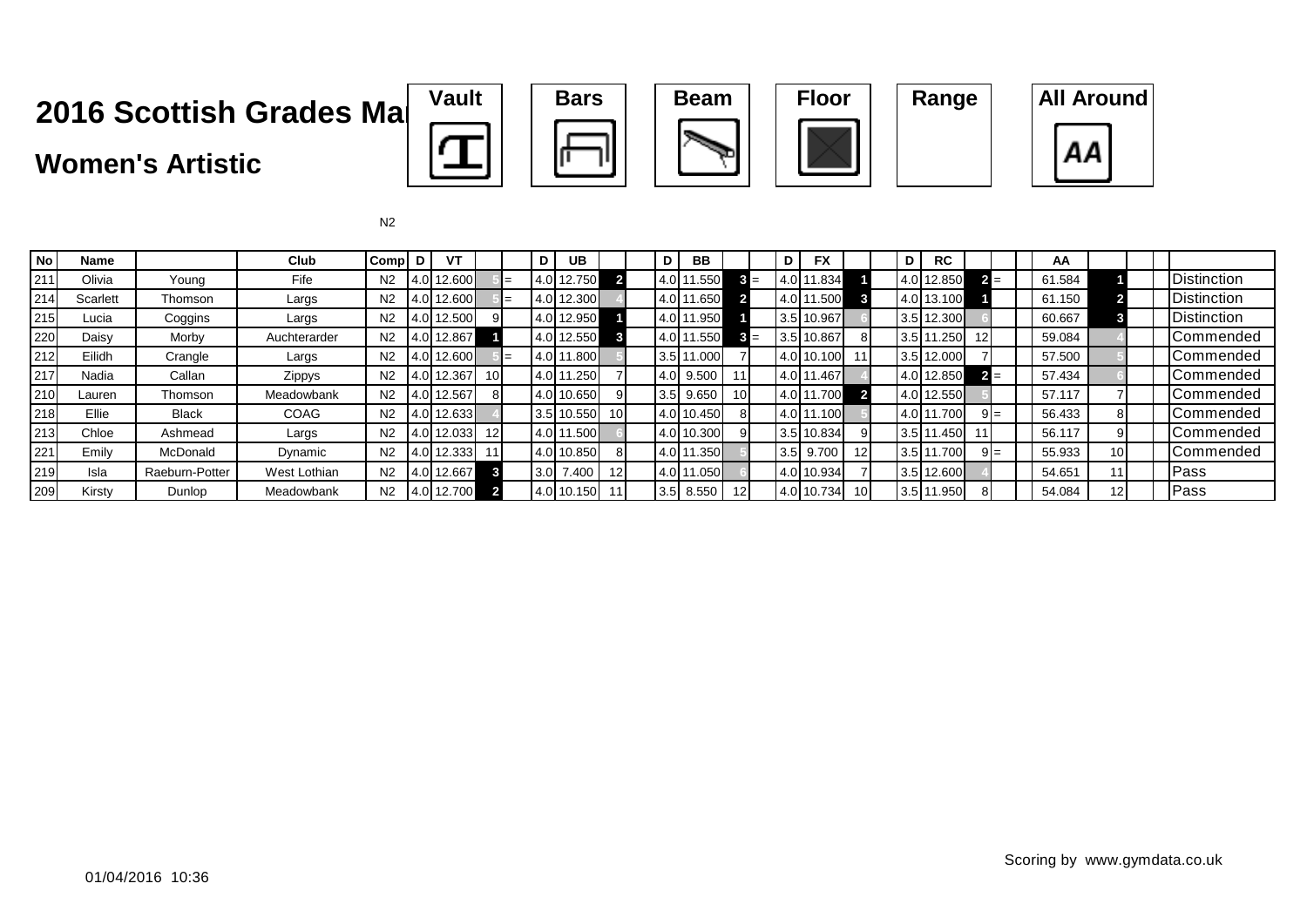### **Women's Artistic**









| <b>No</b> | <b>Name</b> |                | Club         | Comp           | D | VT         |                 | D                | UB          |                 | D   | BB         |                 | D   | <b>FX</b>  |      | D | <b>RC</b>  |       |        | AA     |                 |      |                    |
|-----------|-------------|----------------|--------------|----------------|---|------------|-----------------|------------------|-------------|-----------------|-----|------------|-----------------|-----|------------|------|---|------------|-------|--------|--------|-----------------|------|--------------------|
| 211       | Olivia      | Young          | Fife         | N <sub>2</sub> |   | 4.0 12.600 |                 |                  | 4.0 12.750  |                 |     | 4.0 11.550 | $3 =$           |     | .834       |      |   | 4.0 12.850 | $2 =$ |        | 61.584 |                 |      | Distinction        |
| 214       | Scarlett    | Thomson        | Largs        | N <sub>2</sub> |   | 12.600     |                 |                  | 4.0 12.300  |                 |     | 4.0 11.650 |                 |     | .500       |      |   | 4.0 13.100 |       |        | 61.150 |                 |      | Distinction        |
| 215       | Lucia       | Coggins        | Largs        | N <sub>2</sub> |   | 12.500     |                 |                  | 4.0 12.950  |                 |     | 4.0 11.950 |                 |     | 3.5 10.967 |      |   | 3.5 12.300 |       |        | 60.667 |                 |      | <b>Distinction</b> |
| 220       | Daisy       | Morby          | Auchterarder | N <sub>2</sub> |   | 12.867     |                 |                  | 4.0 12.550  |                 |     | 4.0 11.550 |                 |     | 3.5 10.867 | 8    |   | 3.5 11.250 | 12    |        | 59.084 |                 |      | Commended          |
| 212       | Eilidh      | Crangle        | Largs        | N <sub>2</sub> |   | 12.600     |                 |                  | 4.0 11.800  |                 | 3.5 | 11.000     |                 |     | 10.100     |      |   | 3.5 12.000 |       |        | 57.500 |                 |      | <b>ICommended</b>  |
| 217       | Nadia       | Callan         | Zippys       | N <sub>2</sub> |   | 12.367     | 10 <sup>1</sup> | 4.0              | 1.250       |                 | 4.0 | 9.500      |                 |     | . 4671     |      |   | 4.0 12.850 | $2 =$ |        | 57.434 |                 |      | Commended          |
| 210       | Lauren      | Thomson        | Meadowbank   | N <sub>2</sub> |   | 4.0 12.567 |                 |                  | 4.0 10.650  |                 | 3.5 | 9.650      | 10 <sup>1</sup> | 4.0 | .700       |      |   | 4.0 12.550 |       |        | 57.117 |                 |      | Commended          |
| 218       | Ellie       | <b>Black</b>   | COAG         | N <sub>2</sub> |   | 4.0 12.633 |                 |                  | 3.5 10.550  | 10 <sup>1</sup> |     | 4.0 10.450 | 81              |     | .1001      |      |   | 4.0 11.700 |       | $9I =$ | 56.433 |                 |      | <b>Commended</b>   |
| 213       | Chloe       | Ashmead        | Largs        | N <sub>2</sub> |   | 12.033     | 12              |                  | 14.0 11.500 |                 |     | 4.0 10.300 | 91              | 3.5 | 10.834     |      |   | 3.5 11.450 |       |        | 56.117 |                 |      | Commended          |
| 221       | Emily       | McDonald       | Dynamic      | N <sub>2</sub> |   | 12.333     |                 |                  | 4.0 10.850  |                 |     | 4.0 11.350 |                 | 3.5 | 9.700      | 12   |   | 3.5 11.700 |       | $9I =$ | 55.933 | 10 <sub>1</sub> |      | <b>ICommended</b>  |
| 219       | Isla        | Raeburn-Potter | West Lothian | N <sub>2</sub> |   | 12.667     |                 | 3.0 <sub>l</sub> | 7.400       | 12 <sup>1</sup> |     | 4.0 11.050 |                 |     | 10.934     |      |   | 3.5 12.600 |       |        | 54.651 |                 | Pass |                    |
| 209       | Kirsty      | Dunlop         | Meadowbank   | N2             |   | 4.0 12.700 |                 |                  | 4.0 10.150  |                 | 3.5 | 8.550      | 12I             |     | 10.734     | 10 I |   | 3.5 11.950 |       |        | 54.084 |                 | Pass |                    |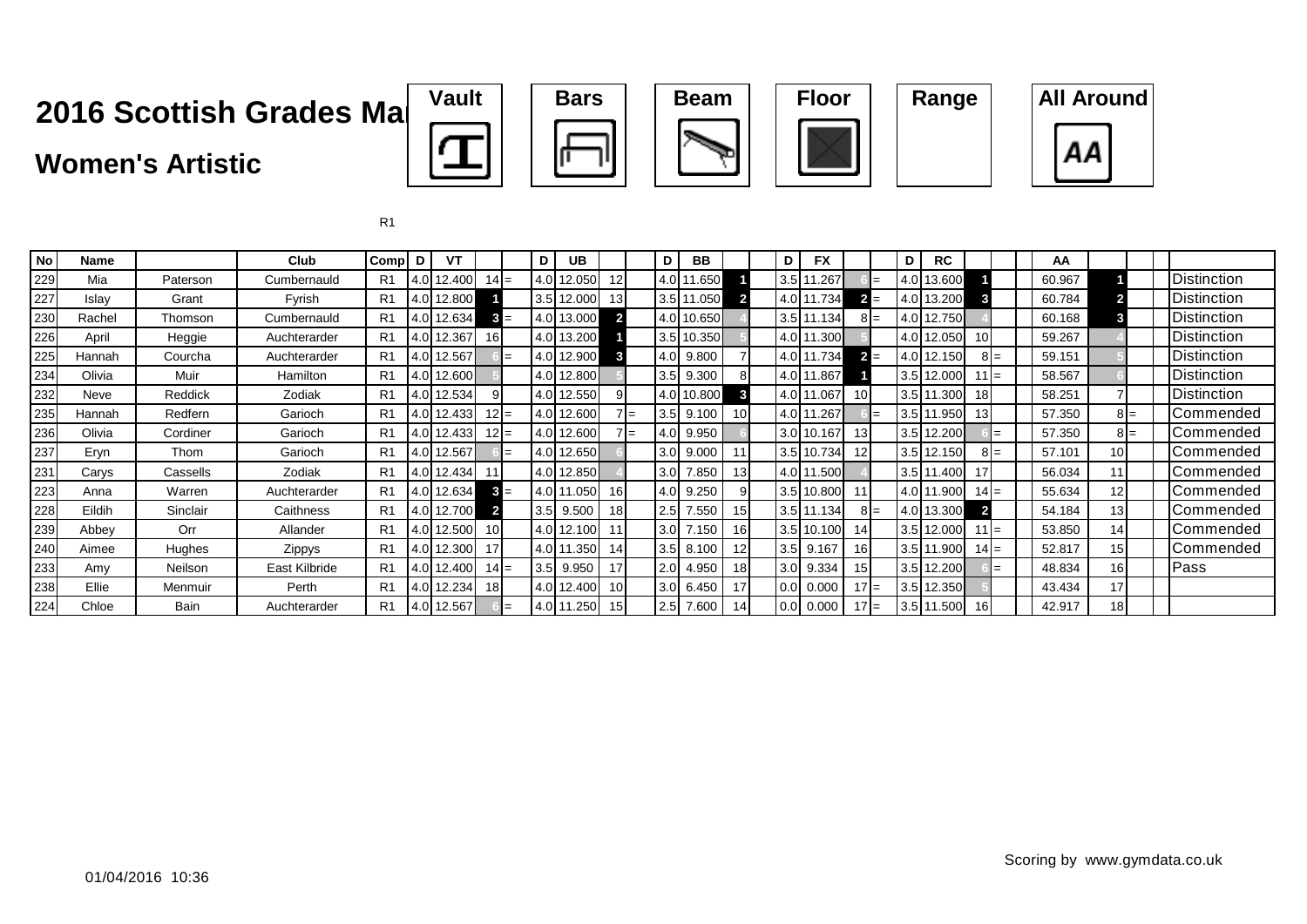### **Women's Artistic**









| <b>No</b> | Name   |          | Club          | Comp           | D     | ۷T     |                 |     | D                                 | UB.         |                         |              | D                | <b>BB</b>  |    | D                | <b>FX</b>   |                 | D | <b>RC</b>    |                 | AA     |                 |        |                    |
|-----------|--------|----------|---------------|----------------|-------|--------|-----------------|-----|-----------------------------------|-------------|-------------------------|--------------|------------------|------------|----|------------------|-------------|-----------------|---|--------------|-----------------|--------|-----------------|--------|--------------------|
| 229       | Mia    | Paterson | Cumbernauld   | R <sub>1</sub> | 4.0   | 12.400 | $14 =$          |     | (4.0)                             | 12.050      | 12                      |              | 4.OL*            | 1.650      |    | 3.5              | 1.267       |                 |   | 4.0 13.600   |                 | 60.967 |                 |        | <b>Distinction</b> |
| 227       | Islay  | Grant    | Fyrish        | R <sub>1</sub> | 4.0   | 12.800 |                 |     |                                   | 3.5 12.000  | 13I                     |              |                  | 3.5 11.050 |    | 4.0              | .734        | 21              |   | 4.0 13.200   |                 | 60.784 |                 |        | <b>Distinction</b> |
| 230       | Rachel | Thomson  | Cumbernauld   | R <sub>1</sub> | 4.0   | 12.634 | $3 =$           |     |                                   | 4.0 13.000  | $\overline{\mathbf{2}}$ |              |                  | 4.0 10.650 |    | 3.5              | 11.134      | $8I=$           |   | 4.0 12.750   |                 | 60.168 |                 |        | <b>Distinction</b> |
| 226       | April  | Heggie   | Auchterarder  | R <sub>1</sub> | 4.0   | 12.367 | 16 I            |     |                                   | 4.0 13.200  |                         |              |                  | 3.5 10.350 |    |                  | 4.0 11.300  |                 |   | 4.0 12.050   | 10 <sup>1</sup> | 59.267 |                 |        | <b>Distinction</b> |
| 225       | Hannah | Courcha  | Auchterarder  | R <sub>1</sub> | 4.0   | 12.567 |                 | l=  |                                   | 4.0 12.900  | 3                       |              | 4.0I             | 9.800      |    | $4.0$   1        | 11.734      | $2 =$           |   | 4.0 12.150   | $8I =$          | 59.151 |                 |        | <b>Distinction</b> |
| 234       | Olivia | Muir     | Hamilton      | R <sub>1</sub> | 4.0   | 12.600 |                 |     |                                   | 4.0 12.800  |                         |              |                  | 3.5 9.300  |    | 4.0              | 11.867      |                 |   | $3.5$ 12.000 | $11 =$          | 58.567 |                 |        | Distinction        |
| 232       | Neve   | Reddick  | Zodiak        | R <sub>1</sub> | 4.0   | 12.534 |                 |     |                                   | 4.0 12.550  | 91                      |              |                  | 4.0 10.800 | 3  | 4.0              | 11.067      | 10I             |   | 3.5 11.300   | 18 <sup>1</sup> | 58.251 |                 |        | <b>Distinction</b> |
| 235       | Hannah | Redfern  | Garioch       | R1             | 4.0   | 12.433 | $12 =$          |     |                                   | 4.0 12.600  |                         | $\mathsf{I}$ | 3.5              | 9.100      |    | 4.0              | .267        |                 |   | 3.5 11.950   | 13              | 57.350 |                 | $8I =$ | Commended          |
| 236       | Olivia | Cordiner | Garioch       | R <sub>1</sub> | 4.0   | 12.433 | $12I =$         |     |                                   | 4.0 12.600  |                         | $\mathbf{I}$ | 4.OI             | 9.950      |    | 3.0 <sub>l</sub> | 10.167      | 13 I            |   | 3.5 12.200   |                 | 57.350 |                 | $8I =$ | Commended          |
| 237       | Eryn   | Thom     | Garioch       | R <sub>1</sub> | 4.0   | 12.567 |                 | $=$ |                                   | 4.0 12.650  |                         |              | 3.0 <sub>l</sub> | 9.000      |    | 3.5              | 10.734      | 12 <sup>1</sup> |   | 3.5 12.150   | 3 I =           | 57.101 | 101             |        | Commended          |
| 231       | Carys  | Cassells | Zodiak        | R <sub>1</sub> | 4.0I  | 12.434 |                 |     |                                   | 4.0 12.850  |                         |              | 3.0 <sub>l</sub> | 7.850      | 13 |                  | 4.0 11.500  |                 |   | 3.5 11.400   |                 | 56.034 | 11              |        | Commended          |
| 223       | Anna   | Warren   | Auchterarder  | R <sub>1</sub> | 4.0   | 12.634 | $3 =$           |     |                                   | 4.0 11.050  | 16                      |              | 4.0              | 9.250      |    | 3.5              | 10.800      |                 |   | 4.0 11.900   | $14 =$          | 55.634 |                 |        | Commended          |
| 228       | Eildih | Sinclair | Caithness     | R <sub>1</sub> | 4.0   | 12.700 |                 |     |                                   | $3.5$ 9.500 | 18                      |              | 2.5              | 7.550      | 15 |                  | 3.5 11.134  | $8I=$           |   | 4.0 13.300   |                 | 54.184 | 13 <sub>1</sub> |        | Commended          |
| 239       | Abbey  | Orr      | Allander      | R <sub>1</sub> | 4.0   | 12.500 | 10 <sup>1</sup> |     | 4.0                               | 12.100      | 11                      |              | 3.0              | 7.150      | 16 | 3.5              | 10.100      | 141             |   | $3.5$ 12.000 | $11 =$          | 53.850 | 14              |        | Commended          |
| 240       | Aimee  | Hughes   | Zippys        | R <sub>1</sub> | 4.0   | 12.300 | 17              |     | 4.0I1                             | 1.350       | 14                      |              | 3.5              | 8.100      | 12 | 3.5              | 9.167       | 16 I            |   | $3.5$ 11.900 | $14 =$          | 52.817 | 15 <sub>l</sub> |        | Commended          |
| 233       | Amy    | Neilson  | East Kilbride | R <sub>1</sub> | 4.0   | 12.400 | $14 =$          |     |                                   | 3.5 9.950   | 17                      |              | 2.0              | 4.950      | 18 |                  | 3.0 9.334   | 151             |   | 3.5 12.200   | $=$             | 48.834 | 16 <sub>l</sub> |        | Pass               |
| 238       | Ellie  | Menmuir  | Perth         | R <sub>1</sub> | 4.0   | 12.234 | 18 <sup>l</sup> |     |                                   | 4.0 12.400  | 10 <sup>1</sup>         |              | 3.0              | 6.450      | 17 |                  | $0.0$ 0.000 | $17 =$          |   | 3.5 12.350   |                 | 43.434 | 17              |        |                    |
| 224       | Chloe  | Bain     | Auchterarder  | R <sub>1</sub> | 14.OI | 12.567 |                 | $=$ | $\blacksquare$ 4.0 $\blacksquare$ | 1.250       | 15 <sup>1</sup>         |              | 2.5              | 7.600      | 14 |                  | $0.0$ 0.000 | $17I$ =         |   | 3.5 11.500   | 16              | 42.917 | 18              |        |                    |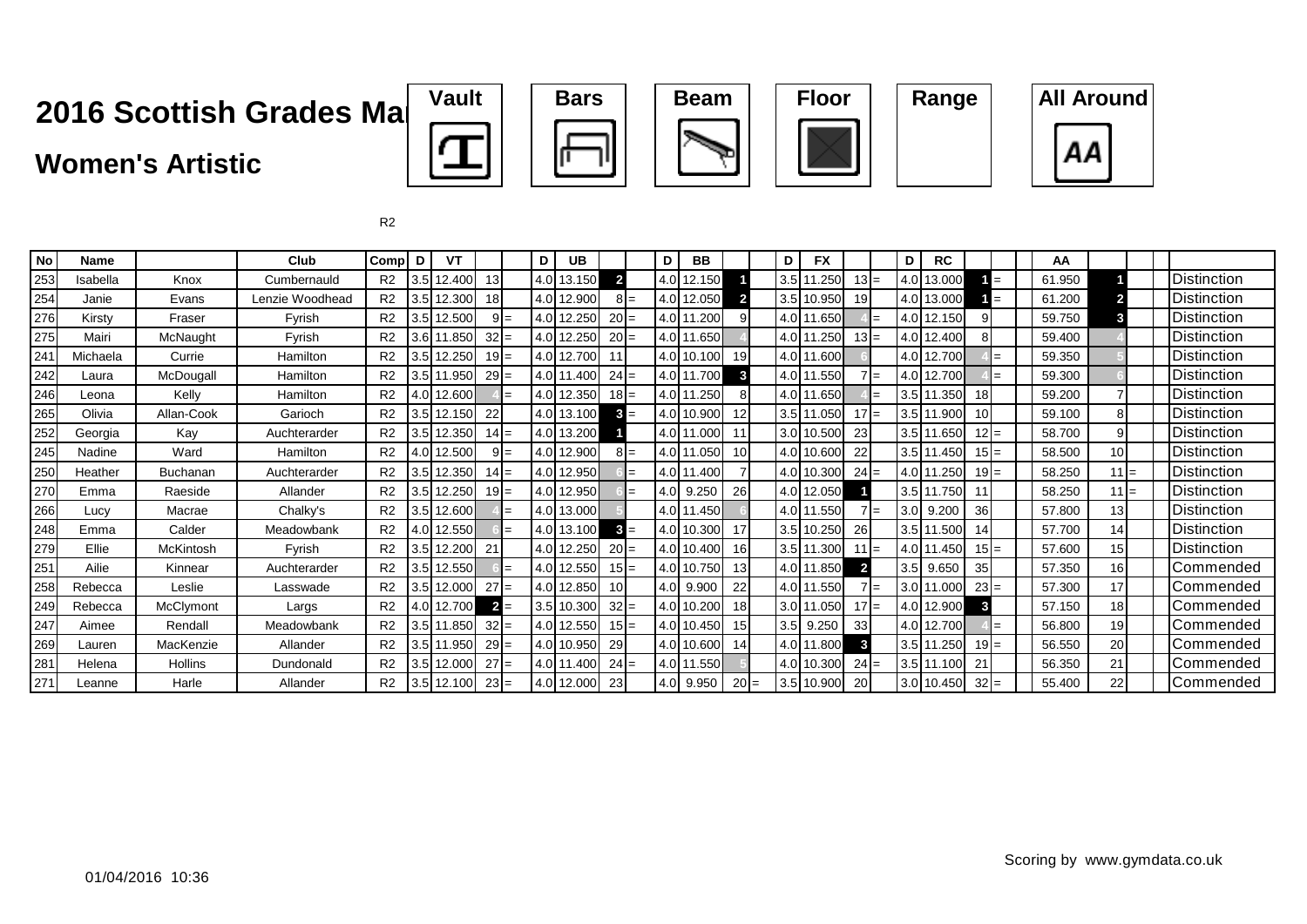### **Women's Artistic**











| No              | <b>Name</b> |                 | Club            | Comp           | D                | VT         |                 |       | D I              | <b>UB</b>  |                 | D    | <b>BB</b>  |        | D   | <b>FX</b>    |                | D          | <b>RC</b>    |        | AA     |                 |                    |
|-----------------|-------------|-----------------|-----------------|----------------|------------------|------------|-----------------|-------|------------------|------------|-----------------|------|------------|--------|-----|--------------|----------------|------------|--------------|--------|--------|-----------------|--------------------|
| 253             | Isabella    | Knox            | Cumbernauld     | R <sub>2</sub> | 3.5              | 12.400     | 13 <sup>1</sup> |       |                  | 4.0 13.150 | $\overline{2}$  |      | 4.0 12.150 |        |     | 3.5 11.250   | $13 =$         |            | 4.0 13.000   | $=$    | 61.950 |                 | <b>Distinction</b> |
| 254             | Janie       | Evans           | Lenzie Woodhead | R <sub>2</sub> | 3.5              | 12.300     | 18 <sup>1</sup> |       |                  | 4.0 12.900 | $8I=$           |      | 4.0 12.050 |        |     | 3.5 10.950   | 19             |            | 4.0 13.000   | $=$    | 61.200 |                 | <b>Distinction</b> |
| 276             | Kirsty      | Fraser          | Fyrish          | R <sub>2</sub> | 3.5 <sub>l</sub> | 12.500     |                 | $9 =$ |                  | 4.0 12.250 | $20 =$          | 4.0I | 1.200      |        |     | 4.0 11.650   |                |            | 4.0 12.150   |        | 59.750 |                 | <b>Distinction</b> |
| 275             | Mairi       | McNaught        | Fyrish          | R <sub>2</sub> |                  | 3.6 11.850 | $32 =$          |       |                  | 4.0 12.250 | $20 =$          |      | 4.0 11.650 |        |     | 4.0 11.250   | $13 =$         |            | 4.0 12.400   |        | 59.400 |                 | <b>Distinction</b> |
| 24 <sup>°</sup> | Michaela    | Currie          | Hamilton        | R <sub>2</sub> |                  | 3.5 12.250 | $19 =$          |       |                  | 4.0 12.700 | 11              |      | 4.0 10.100 | 19     |     | 4.0 11.600   |                |            | 4.0 12.700   | $=$    | 59.350 |                 | <b>Distinction</b> |
| 242             | Laura       | McDougall       | Hamilton        | R <sub>2</sub> |                  | 3.5 11.950 | $29 =$          |       |                  | 4.0 11.400 | $24 =$          |      | 4.0 11.700 | 3      |     | 4.0 11.550   | $7l =$         | 4.0        | 12.700       |        | 59.300 |                 | <b>Distinction</b> |
| 246             | Leona       | Kelly           | Hamilton        | R <sub>2</sub> |                  | 4.0 12.600 |                 |       |                  | 4.0 12.350 | $18 =$          |      | 4.0 11.250 |        |     | 4.0 11.650   |                |            | 3.5 11.350   | 18     | 59.200 |                 | <b>Distinction</b> |
| 265             | Olivia      | Allan-Cook      | Garioch         | R <sub>2</sub> |                  | 3.5 12.150 | 22              |       |                  | 4.0 13.100 | $3 =$           |      | 4.0 10.900 | 12     |     | $3.5$ 11.050 | $17 =$         |            | 3.5 11.900   | 10     | 59.100 | 8               | <b>Distinction</b> |
| 252             | Georgia     | Kay             | Auchterarder    | R <sub>2</sub> |                  | 3.5 12.350 | $14 =$          |       |                  | 4.0 13.200 |                 |      | 4.0 11.000 | 11     |     | 3.0 10.500   | 23             |            | 3.5 11.650   | 12I    | 58.700 | 9               | <b>Distinction</b> |
| 245             | Nadine      | Ward            | Hamilton        | R <sub>2</sub> | 4.0 <sub>l</sub> | 12.500     |                 | $9 =$ |                  | 4.0 12.900 | $8 =$           |      | 4.0 11.050 |        |     | 4.0 10.600   | 22             |            | 3.5 11.450   | $15 =$ | 58.500 | 10 <sup>1</sup> | <b>Distinction</b> |
| 250             | Heather     | <b>Buchanan</b> | Auchterarder    | R <sub>2</sub> | 3.5 <sub>1</sub> | 12.350     | $14 =$          |       |                  | 4.0 12.950 |                 |      | 4.0 11.400 |        |     | 4.0 10.300   | $24 =$         | $4.0$   11 | .250         | $19 =$ | 58.250 | $11 =$          | <b>Distinction</b> |
| 270             | Emma        | Raeside         | Allander        | R <sub>2</sub> | 3.5              | 12.250     | $19 =$          |       |                  | 4.0 12.950 |                 |      | 9.250      | 26     |     | 4.0 12.050   |                |            | $3.5$ 11.750 |        | 58.250 | 11I             | <b>Distinction</b> |
| 266             | Lucy        | Macrae          | Chalky's        | R <sub>2</sub> |                  | 3.5 12.600 |                 |       |                  | 4.0 13.000 |                 |      | 4.0 11.450 |        |     | 4.0 11.550   | $7l =$         |            | $3.0$ 9.200  | 36     | 57.800 | 13              | <b>Distinction</b> |
| 248             | Emma        | Calder          | Meadowbank      | R <sub>2</sub> | 4.0 <sub>l</sub> | 12.550     |                 | $=$   |                  | 4.0 13.100 | $3 =$           |      | 4.0 10.300 | 17     |     | 3.5 10.250   | 26             |            | 3.5 11.500   | 14     | 57.700 | 14              | <b>Distinction</b> |
| 279             | Ellie       | McKintosh       | Fyrish          | R <sub>2</sub> |                  | 3.5 12.200 | 21              |       |                  | 4.0 12.250 | $20 =$          |      | 4.0 10.400 | 16     |     | 3.5 11.300   | $11 =$         | 4.0111     | 1.450        | $15 =$ | 57.600 | 15 <sub>l</sub> | <b>Distinction</b> |
| 251             | Ailie       | Kinnear         | Auchterarder    | R <sub>2</sub> |                  | 3.5 12.550 |                 |       |                  | 4.0 12.550 | $15 =$          |      | 4.0 10.750 | 13     |     | 4.0 11.850   | $\overline{2}$ |            | $3.5$ 9.650  | 35     | 57.350 | 16              | Commended          |
| 258             | Rebecca     | Leslie          | Lasswade        | R <sub>2</sub> |                  | 3.5 12.000 | $27 =$          |       |                  | 4.0 12.850 | 10 <sup>1</sup> |      | 4.0 9.900  | 22     |     | 4.0 11.550   | $7l =$         |            | 3.0 11.000   | $23 =$ | 57.300 | 17              | Commended          |
| 249             | Rebecca     | McClymont       | Largs           | R <sub>2</sub> |                  | 4.0 12.700 | $2 =$           |       |                  | 3.5 10.300 | $32 =$          |      | 4.0 10.200 | 18     |     | 3.0 11.050   | $17 =$         |            | 4.0 12.900   |        | 57.150 | 18 <sup>l</sup> | Commended          |
| 247             | Aimee       | Rendall         | Meadowbank      | R <sub>2</sub> |                  | 3.5 11.850 | $32 =$          |       |                  | 4.0 12.550 | $15 =$          |      | 4.0 10.450 | 15     | 3.5 | 9.250        | 33             |            | 4.0 12.700   | $=$    | 56.800 | 19              | Commended          |
| 269             | Lauren      | MacKenzie       | Allander        | R <sub>2</sub> |                  | 3.5 11.950 | $29 =$          |       |                  | 4.0 10.950 | 29              |      | 4.0 10.600 | 14     |     | 4.0 11.800   | 3              | $3.5$ 11   | 1.250        | $19 =$ | 56.550 | 20              | Commended          |
| 281             | Helena      | <b>Hollins</b>  | Dundonald       | R <sub>2</sub> |                  | 3.5 12.000 | $27 =$          |       |                  | 4.0 11.400 | $24 =$          |      | 4.0 11.550 |        |     | 4.0 10.300   | $24 =$         |            | 3.5 11.100   | 21     | 56.350 | 21              | Commended          |
| 271             | Leanne      | Harle           | Allander        | R <sub>2</sub> | 3.5              | 12.100     | $23 =$          |       | 4.0 <sup>1</sup> | 12.000     | 23              |      | 4.0 9.950  | $20 =$ |     | 3.5 10.900   | <b>20</b>      |            | 3.0 10.450   | 32'    | 55.400 | 22              | Commended          |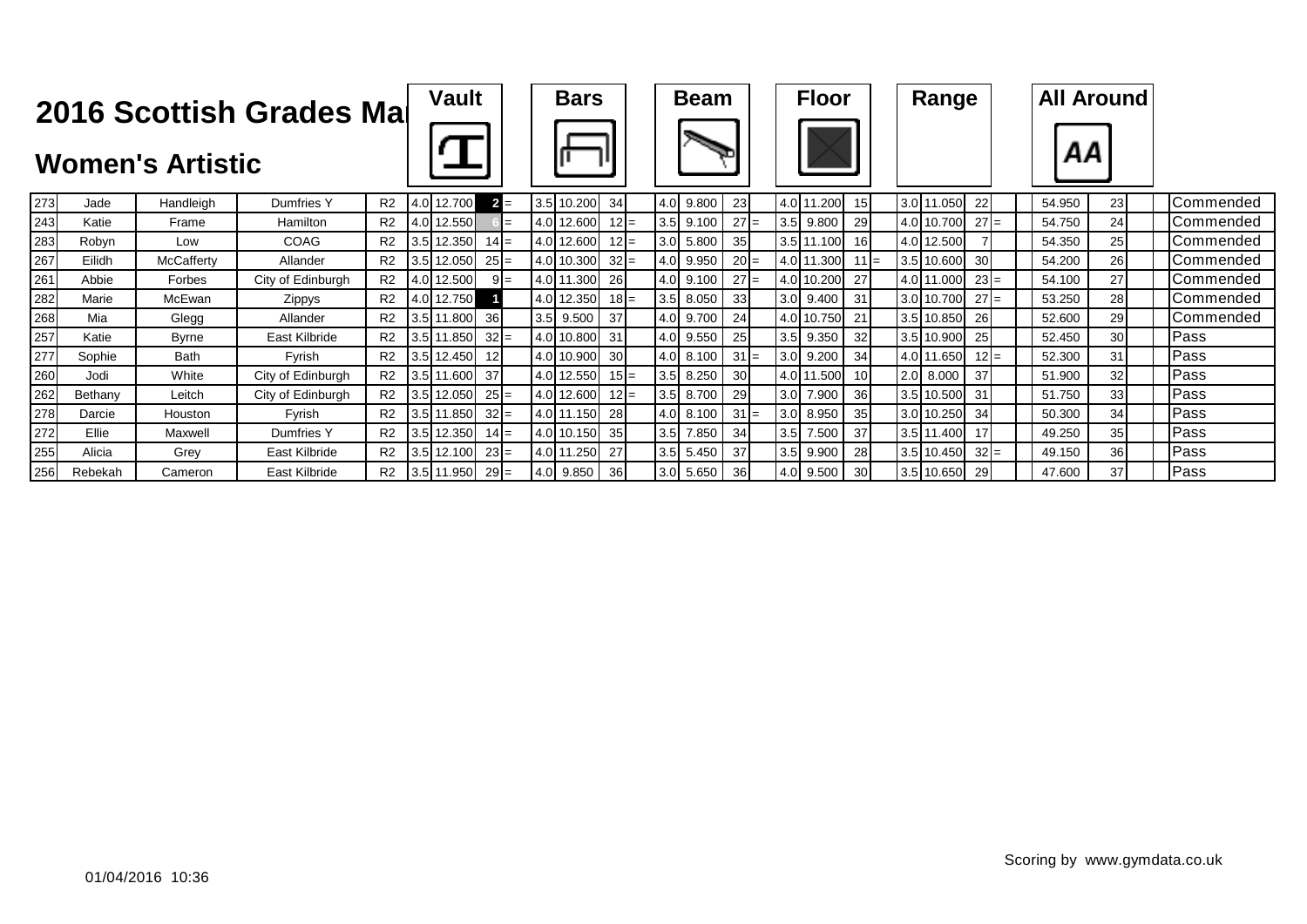|     |         | <b>Women's Artistic</b> | 2016 Scottish Grades Mal |                | <b>Vault</b>      |        |  | <b>Bars</b> |        |     | <b>Beam</b> |                 |     | <b>Floor</b> |        | Range         |                 |  | <b>All Around</b><br>ΑА |    |           |
|-----|---------|-------------------------|--------------------------|----------------|-------------------|--------|--|-------------|--------|-----|-------------|-----------------|-----|--------------|--------|---------------|-----------------|--|-------------------------|----|-----------|
| 273 | Jade    | Handleigh               | Dumfries Y               | R <sub>2</sub> | 4.0 12.700        | $2 =$  |  | 3.5 10.200  | 34     | 4.0 | 9.800       | 23              |     | 4.0 11.200   | 15     | 3.0 11.050    | 22              |  | 54.950                  | 23 | Commended |
| 243 | Katie   | Frame                   | Hamilton                 | R <sub>2</sub> | 4.0 12.550        |        |  | 4.0 12.600  | $12 =$ |     | 3.5 9.100   | $27 =$          |     | $3.5$ 9.800  | 29     | 4.0 10.700    | $27 =$          |  | 54.750                  | 24 | Commended |
| 283 | Robyn   | Low                     | COAG                     | R <sub>2</sub> | 3.5 12.350        | $14 =$ |  | 4.0 12.600  | $12 =$ | 3.0 | 5.800       | 35              |     | 3.5 11.100   | 16     | 4.0 12.500    |                 |  | 54.350                  | 25 | Commended |
| 267 | Eilidh  | <b>McCafferty</b>       | Allander                 | R <sub>2</sub> | 3.5 12.050        | $25 =$ |  | 4.0 10.300  | $32 =$ | 4.0 | 9.950       | $20 =$          |     | 4.0 11.300   | $11 =$ | 3.5 10.600    | 30 <sup>l</sup> |  | 54.200                  | 26 | Commended |
| 261 | Abbie   | Forbes                  | City of Edinburgh        | R <sub>2</sub> | 4.0 12.500        | $9 =$  |  | 4.0 11.300  | 26     | 4.0 | 9.100       | $27 =$          |     | 4.0 10.200   | 27     | 4.0 11.000    | $23 =$          |  | 54.100                  | 27 | Commended |
| 282 | Marie   | McEwan                  | Zippys                   | R <sub>2</sub> | 4.0 12.750        |        |  | 4.0 12.350  | $18 =$ | 3.5 | 8.050       | 33              |     | $3.0$ 9.400  | 31     | 3.0 10.700    | $27 =$          |  | 53.250                  | 28 | Commended |
| 268 | Mia     | Glegg                   | Allander                 | R <sub>2</sub> | 3.5 11.800        | 36     |  | $3.5$ 9.500 | 37     | 4.0 | 9.700       | 24              |     | 4.0 10.750   | 21     | 3.5 10.850    | 26              |  | 52.600                  | 29 | Commended |
| 257 | Katie   | <b>Byrne</b>            | East Kilbride            | R <sub>2</sub> | 3.5 11.850        | $32 =$ |  | 4.0 10.800  | 31     | 4.0 | 9.550       | 25              |     | 3.5 9.350    | 32     | 3.5 10.900    | 25              |  | 52.450                  | 30 | Pass      |
| 277 | Sophie  | Bath                    | Fvrish                   | R2             | $3.5$ 12.450      | 12I    |  | 4.0 10.900  | 30     | 4.0 | 8.100       | $31 =$          |     | 3.0 9.200    | 34     | 4.0 11.650    | $12 =$          |  | 52.300                  | 31 | Pass      |
| 260 | Jodi    | White                   | City of Edinburgh        | R2             | 3.5 11.600        | 37     |  | 4.0 12.550  | $15 =$ | 3.5 | 8.250       | 30 <sup>l</sup> |     | 4.0 11.500   | 10     | $2.0$ 8.000   | 37              |  | 51.900                  | 32 | Pass      |
| 262 | Bethany | Leitch                  | City of Edinburgh        | R <sub>2</sub> | 3.5 12.050        | $25 =$ |  | 4.0 12.600  | $12 =$ |     | 3.5 8.700   | 29              | 3.0 | 7.900        | 36     | 3.5 10.500    | 31              |  | 51.750                  | 33 | Pass      |
| 278 | Darcie  | Houston                 | Fyrish                   | R <sub>2</sub> | 3.5 11.850        | $32 =$ |  | 4.0 11.150  | 28     | 4.0 | 8.100       | $31 =$          | 3.0 | 8.950        | 35     | 3.0 10.250    | 34              |  | 50.300                  | 34 | Pass      |
| 272 | Ellie   | Maxwell                 | Dumfries Y               | R <sub>2</sub> | 3.5 12.350        | $14 =$ |  | 4.0 10.150  | 35     | 3.5 | 7.850       | 34              |     | 3.5 7.500    | 37     | $3.5$ 11.400  | 17              |  | 49.250                  | 35 | Pass      |
| 255 | Alicia  | Grey                    | East Kilbride            | R <sub>2</sub> | 3.5 12.100        | $23 =$ |  | 4.0 11.250  | 27     |     | $3.5$ 5.450 | 37              |     | 3.5 9.900    | 28     | 3.5 10.450    | $32 =$          |  | 49.150                  | 36 | Pass      |
| 256 | Rebekah | Cameron                 | East Kilbride            | R <sub>2</sub> | $3.5$ 11.950 29 = |        |  | 4.0 9.850   | 36I    |     | $3.0$ 5.650 | 36 <sup>l</sup> |     | 4.0 9.500    | 30     | 3.5 10.650 29 |                 |  | 47.600                  | 37 | Pass      |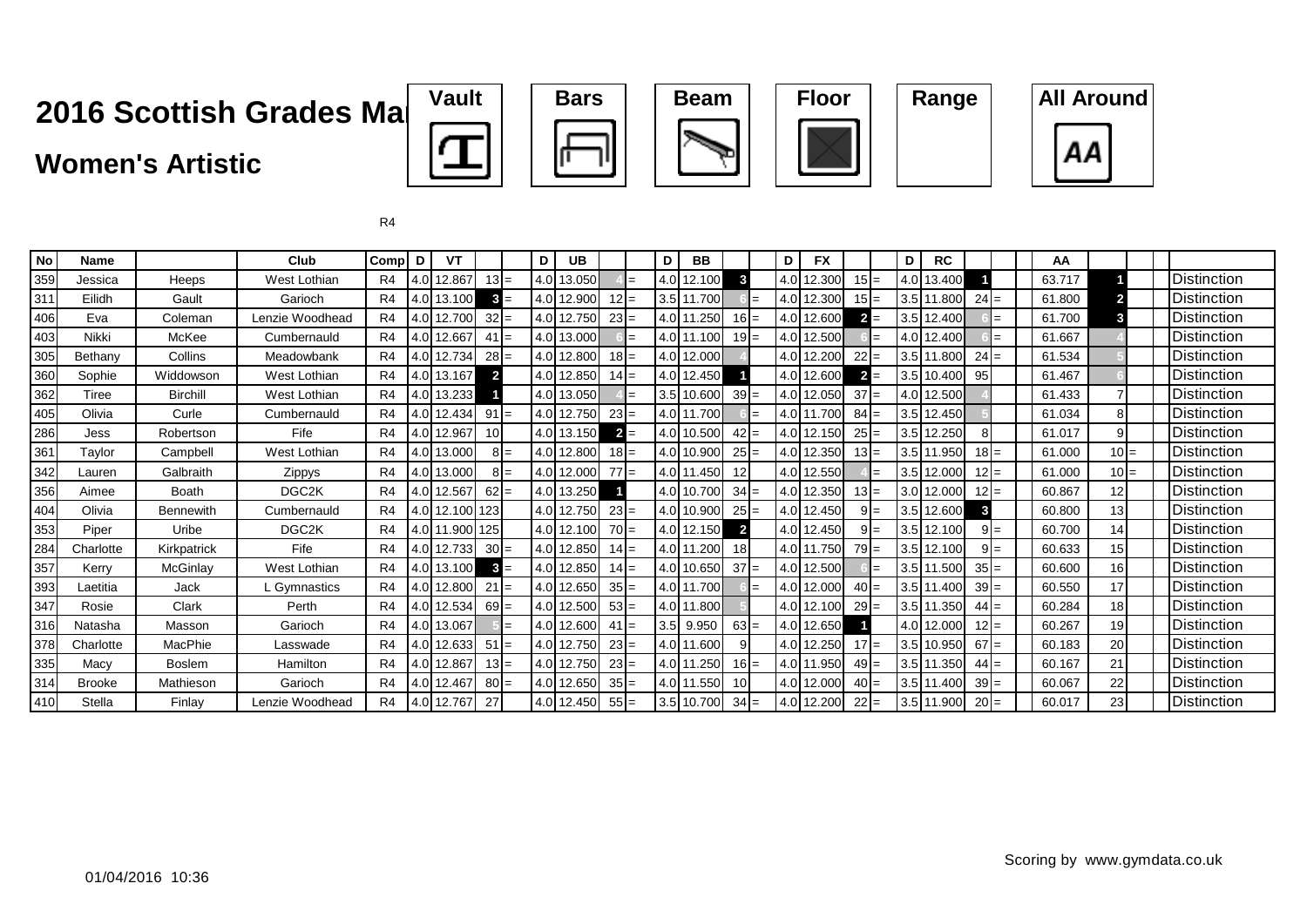### **Women's Artistic**









| <b>No</b>    | <b>Name</b>   |                  | Club               | Compl          | D                | <b>VT</b>  |                 |       | D   | <b>UB</b>  |        | D                | BB         |                |        | D                | <b>FX</b>  |                 |     | D                | <b>RC</b>  |         |     | AA     |                 |        |                    |
|--------------|---------------|------------------|--------------------|----------------|------------------|------------|-----------------|-------|-----|------------|--------|------------------|------------|----------------|--------|------------------|------------|-----------------|-----|------------------|------------|---------|-----|--------|-----------------|--------|--------------------|
| 359          | Jessica       | Heeps            | West Lothian       | R <sub>4</sub> | 4.0I             | 12.867     | $13 =$          |       | 4.0 | 13.050     |        | 4.0              | 12.100     | 3              |        | 4.0              | 12.300     | 15 <sub>l</sub> |     | 4.0              | 13.400     |         |     | 63.717 |                 |        | <b>Distinction</b> |
| 311          | Eilidh        | Gault            | Garioch            | R4             | 4.0 <sub>l</sub> | 13.100     | $3 =$           |       |     | 4.0 12.900 |        | 3.5              | 11.700     |                |        | 4.0              | 12.300     | 15 I            |     | 3.5              | 11.800     | $24 =$  |     | 61.800 |                 |        | <b>Distinction</b> |
| 406          | Eva           | Coleman          | Lenzie Woodhead    | R <sub>4</sub> | 4.0              | 12.700     | $32 =$          |       |     | 4.0 12.750 | $23 =$ | 4.0              | .250       |                | $16 =$ | 4.0 <sup>1</sup> | 12.600     | $\overline{2}$  | $=$ | 3.5              | 12.400     |         | l=  | 61.700 | 3               |        | <b>Distinction</b> |
| 403          | Nikki         | McKee            | Cumbernauld        | R4             | 4.OI             | 12.667     | $41 =$          |       |     | 4.0 13.000 |        | 4.0 <sup>1</sup> | 11.100     |                | $19 =$ | 4.0 <sub>l</sub> | 12.500     |                 |     | 4.0              | 12.400     |         | $=$ | 61.667 |                 |        | Distinction        |
| 305          | Bethany       | Collins          | Meadowbank         | R <sub>4</sub> | 4.0I             | 12.734     | $28 =$          |       |     | 4.0 12.800 | $18 =$ | 4.0              | 12.000     |                |        |                  | 4.0 12.200 | 22              |     | 3.5              | 11.800     | $24 =$  |     | 61.534 |                 |        | <b>Distinction</b> |
| 360          | Sophie        | Widdowson        | West Lothian       | R <sub>4</sub> |                  | 4.0 13.167 | $\overline{2}$  |       |     | 4.0 12.850 | $14 =$ | 4.0              | 12.450     |                |        |                  | 4.0 12.600 | $\mathbf{2}$    | $=$ | 3.5              | 10.400     | 95      |     | 61.467 |                 |        | Distinction        |
| 362          | Tiree         | <b>Birchill</b>  | West Lothian       | R <sub>4</sub> |                  | 4.0 13.233 |                 |       |     | 4.0 13.050 |        | 3.5              | 10.600     |                | $39 =$ |                  | 4.0 12.050 | 37              | $=$ | 4.0              | 12.500     |         |     | 61.433 |                 |        | <b>Distinction</b> |
| 405          | Olivia        | Curle            | Cumbernauld        | R4             | 4.0              | 12.434     | $91 =$          |       |     | 4.0 12.750 | $23 =$ | 4.0              | 11.700     |                | $=$    | 4.0              | 1.700      | $84 =$          |     | 3.5              | 12.450     |         |     | 61.034 | 8               |        | Distinction        |
| 286          | Jess          | Robertson        | Fife               | R <sub>4</sub> | 4.0 <sub>l</sub> | 12.967     | 10 <sup>1</sup> |       |     | 4.0 13.150 | $2 =$  | 4.0              | 10.500     |                | $42 =$ | 4.0              | 12.150     | $25 =$          |     | 3.5              | 12.250     |         |     | 61.017 | 9               |        | Distinction        |
| $36^{\circ}$ | Taylor        | Campbell         | West Lothian       | R <sub>4</sub> | 4.0              | 13.000     |                 | $8 =$ |     | 4.0 12.800 | $18 =$ | 4.0              | 10.900     |                | $25 =$ | 4.0              | 12.350     | $13 =$          |     | 3.5              | 11.950     | $18 =$  |     | 61.000 |                 | $10 =$ | <b>Distinction</b> |
| 342          | Lauren        | Galbraith        | Zippys             | R <sub>4</sub> | 4.0 <sub>l</sub> | 13.000     |                 | $8 =$ |     | 4.0 12.000 | $77 =$ | 4.0              | 11.450     | 12             |        |                  | 4.0 12.550 |                 |     | 3.5              | 12.000     | $12 =$  |     | 61.000 |                 | $10 =$ | Distinction        |
| 356          | Aimee         | Boath            | DGC <sub>2</sub> K | R <sub>4</sub> | 4.0I             | 12.567     | $62 =$          |       |     | 4.0 13.250 |        | 4.0              | 10.700     |                | $34 =$ | 4.0              | 12.350     | $13 =$          |     | 3.0              | 12.000     | $12 =$  |     | 60.867 | 12 <sub>l</sub> |        | <b>Distinction</b> |
| 404          | Olivia        | <b>Bennewith</b> | Cumbernauld        | R <sub>4</sub> | 4.0 <sub>l</sub> | 12.100     | 123             |       |     | 4.0 12.750 | $23 =$ | 4.0              | 10.900     |                | $25 =$ | 4.0              | 12.450     | 91              |     | 3.5              | 12.600     | 3       |     | 60.800 | 13              |        | Distinction        |
| 353          | Piper         | Uribe            | DGC <sub>2</sub> K | R <sub>4</sub> | 4.0I             | 11.900     | 125             |       |     | 4.0 12.100 | $70 =$ | 4.0 <sub>l</sub> | 12.150     | $\overline{2}$ |        |                  | 4.0 12.450 | 9               |     | 3.5              | 12.100     | $9 =$   |     | 60.700 | 14              |        | <b>Distinction</b> |
| 284          | Charlotte     | Kirkpatrick      | Fife               | R4             | 4.0              | 12.733     | $30 =$          |       |     | 4.0 12.850 | $14 =$ | 4.0              | .200       | 18             |        | 4.0 <sub>l</sub> | 1.750      | 79              |     | 3.5              | 12.100     | $9I =$  |     | 60.633 | 15              |        | Distinction        |
| 357          | Kerry         | McGinlay         | West Lothian       | R <sub>4</sub> | 4.OI             | 13.100     | $3 =$           |       |     | 4.0 12.850 | $14 =$ | 4.0              | 10.650     |                | $37 =$ | 4.0 <sup>1</sup> | 12.500     |                 |     | 3.5 <sub>1</sub> | 11.500     | $35 =$  |     | 60.600 | 16              |        | Distinction        |
| 393          | Laetitia      | Jack             | L Gymnastics       | R4             | 4.0I             | 12.800     | 21              | $=$   |     | 4.0 12.650 | $35 =$ |                  | 4.0 11.700 |                |        | 4.0              | 12.000     | $40 =$          |     |                  | 3.5 11.400 | $39 =$  |     | 60.550 | 17              |        | Distinction        |
| 347          | Rosie         | Clark            | Perth              | R4             | 4.0I             | 12.534     | $69 =$          |       |     | 4.0 12.500 | $53 =$ |                  | 4.0 11.800 |                |        |                  | 4.0 12.100 | <b>291</b>      |     |                  | 3.5 11.350 | $44 =$  |     | 60.284 | 18              |        | Distinction        |
| 316          | Natasha       | Masson           | Garioch            | R4             | 4.0I             | 13.067     |                 |       |     | 4.0 12.600 | $41 =$ | 3.5              | 9.950      |                | $63 =$ |                  | 4.0 12.650 |                 |     |                  | 4.0 12.000 | $12I =$ |     | 60.267 | 19              |        | Distinction        |
| 378          | Charlotte     | MacPhie          | Lasswade           | R <sub>4</sub> | 4.0              | 12.633     | $51 =$          |       |     | 4.0 12.750 | $23 =$ |                  | 4.0 11.600 |                |        |                  | 4.0 12.250 | $17 =$          |     |                  | 3.5 10.950 | $67 =$  |     | 60.183 | 20              |        | Distinction        |
| 335          | Macy          | <b>Boslem</b>    | Hamilton           | R4             | 4.0I             | 12.867     | $13 =$          |       |     | 4.0 12.750 | $23 =$ | 4.0              | 11.250     |                | $16 =$ | 4.0 <sub>l</sub> | 1.950      | $49 =$          |     | 3.5              | 11.350     | $44 =$  |     | 60.167 | 21              |        | <b>Distinction</b> |
| 314          | <b>Brooke</b> | Mathieson        | Garioch            | R4             | 4.0I             | 12.467     | $80 =$          |       |     | 4.0 12.650 | $35 =$ | 4.0              | 11.550     | <b>10</b>      |        |                  | 4.0 12.000 | $40 =$          |     |                  | 3.5 11.400 | $39 =$  |     | 60.067 | 22              |        | Distinction        |
| 410          | Stella        | Finlay           | Lenzie Woodhead    | R <sub>4</sub> |                  | 4.0 12.767 | 27              |       |     | 4.0 12.450 | $55 =$ | 3.5              | 10.700     |                | $34 =$ |                  | 4.0 12.200 | $22 =$          |     | 3.5              | 11.900     | $20 =$  |     | 60.017 | 23              |        | <b>Distinction</b> |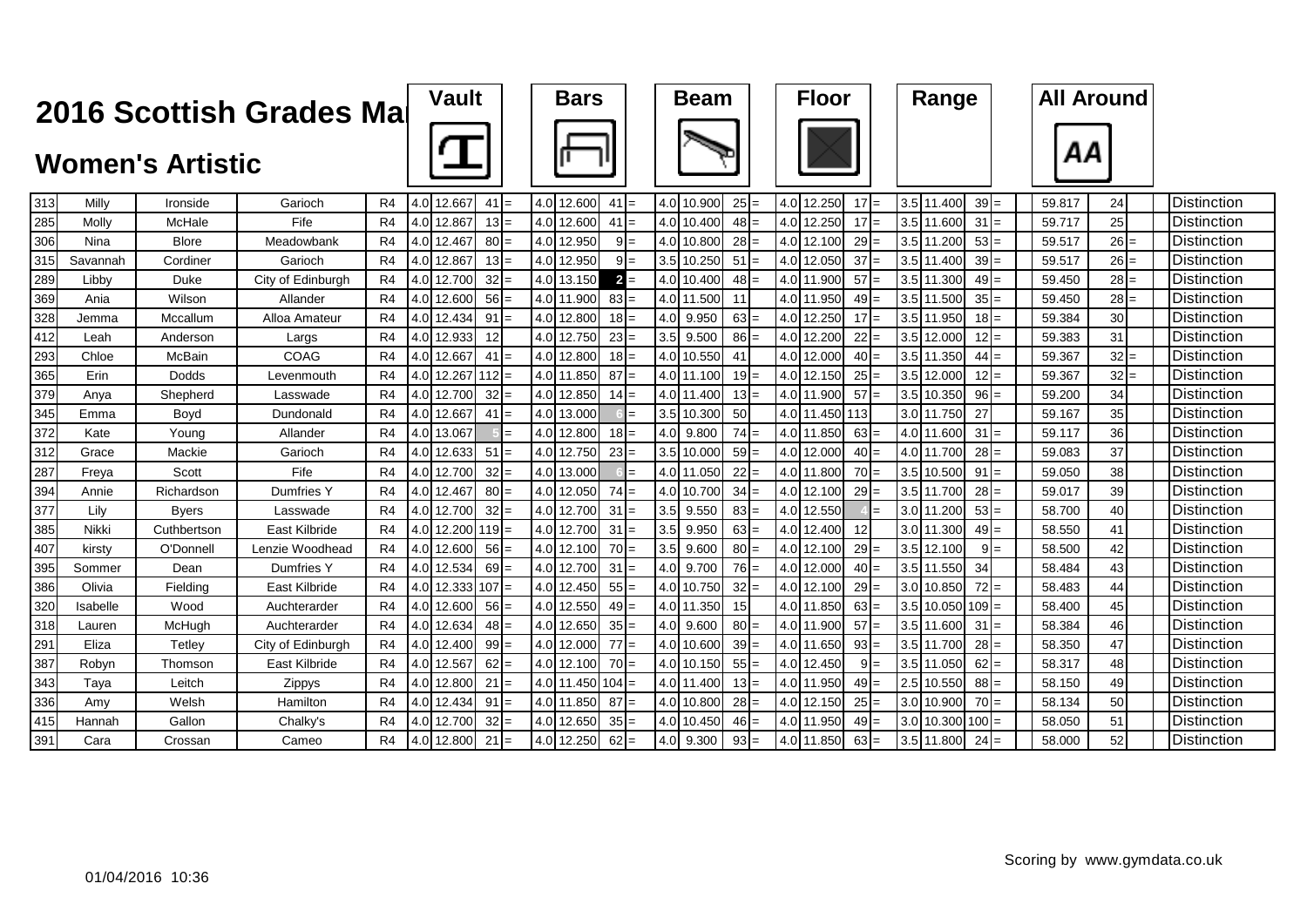|     |          |                         | 2016 Scottish Grades Mar |                | <b>Vault</b>             |        | <b>Bars</b> |         |     | <b>Beam</b> |        |     | <b>Floor</b> |           |     | Range        |         | <b>All Around</b> |     |     |                    |
|-----|----------|-------------------------|--------------------------|----------------|--------------------------|--------|-------------|---------|-----|-------------|--------|-----|--------------|-----------|-----|--------------|---------|-------------------|-----|-----|--------------------|
|     |          | <b>Women's Artistic</b> |                          |                |                          |        |             |         |     |             |        |     |              |           |     |              |         | ΑА                |     |     |                    |
| 313 | Milly    | Ironside                | Garioch                  | R <sub>4</sub> | 4.0 12.667               | $41 =$ | 4.0 12.600  | $41 =$  |     | 4.0 10.900  | $25 =$ | 4.0 | 12.250       | 17        |     | 3.5 11.400   | $39 =$  | 59.817            | 24  |     | <b>Distinction</b> |
| 285 | Molly    | McHale                  | Fife                     | R <sub>4</sub> | 4.0 12.867               | $13 =$ | 4.0 12.600  | $41 =$  |     | 4.0 10.400  | $48 =$ |     | 4.0 12.250   | 17        |     | 3.5 11.600   | $31 =$  | 59.717            | 25  |     | Distinction        |
| 306 | Nina     | <b>Blore</b>            | Meadowbank               | R4             | 4.0 12.467               | $80 =$ | 4.0 12.950  | $9 =$   | 4.0 | 10.800      | $28 =$ | 4.0 | 12.100       | 29        |     | 3.5 11.200   | $53 =$  | 59.517            | 26  | $=$ | Distinction        |
| 315 | Savannah | Cordiner                | Garioch                  | R4             | 4.0 12.867               | $13 =$ | 4.0 12.950  | $9I=$   | 3.5 | 10.250      | $51 =$ | 4.0 | 12.050       | 37        | 3.5 | 11.400       | $39 =$  | 59.517            | 26I | $=$ | Distinction        |
| 289 | Libby    | Duke                    | City of Edinburgh        | R4             | 4.0 12.700               | $32 =$ | 4.0 13.150  | $2 =$   |     | 4.0 10.400  | $48 =$ |     | 4.0 11.900   | 57        |     | 3.5 11.300   | $49 =$  | 59.450            | 28  | $=$ | Distinction        |
| 369 | Ania     | Wilson                  | Allander                 | R4             | 4.0 12.600               | $56 =$ | 4.0 11.900  | $83 =$  |     | 4.0 11.500  | 11     |     | 4.0 11.950   | 49        |     | 3.5 11.500   | $35 =$  | 59.450            | 28  |     | Distinction        |
| 328 | Jemma    | Mccallum                | Alloa Amateur            | R4             | 4.0 12.434               | 91:    | 4.0 12.800  | $18 =$  | 4.0 | 9.950       | $63 =$ | 4.0 | 12.250       | 17        | 3.5 | 11.950       | $18 =$  | 59.384            | 30  |     | <b>Distinction</b> |
| 412 | Leah     | Anderson                | Largs                    | R <sub>4</sub> | 4.0 12.933               | 12     | 4.0 12.750  | $23 =$  | 3.5 | 9.500       | $86 =$ | 4.0 | 12.200       | 22        | 3.5 | 12.000       | $12 =$  | 59.383            | 31  |     | Distinction        |
| 293 | Chloe    | McBain                  | COAG                     | R4             | 4.0 12.667               | $41 =$ | 4.0 12.800  | $18 =$  |     | 4.0 10.550  | 41     | 4.0 | 12.000       | 40        |     | 3.5 11.350   | $44 =$  | 59.367            | 32  | $=$ | Distinction        |
| 365 | Erin     | Dodds                   | Levenmouth               | R4             | $4.0$   12.267  112 =    |        | 4.0 11.850  | $87 =$  |     | 4.0 11.100  | $19 =$ | 4.0 | 12.150       | 25        |     | 3.5 12.000   | $12 =$  | 59.367            | 32  | $=$ | Distinction        |
| 379 | Anya     | Shepherd                | Lasswade                 | R4             | 4.0 12.700               | 32:    | 4.0 12.850  | $14 =$  | 4.0 | 11.400      | $13 =$ | 4.0 | 11.900       | 57        | 3.5 | 10.350       | $96 =$  | 59.200            | 34  |     | <b>Distinction</b> |
| 345 | Emma     | Boyd                    | Dundonald                | R <sub>4</sub> | 4.0 12.667               | $41 =$ | 4.0 13.000  | $=$     | 3.5 | 10.300      | 50     |     | 4.0 11.450   | 113       |     | 3.0 11.750   | 27      | 59.167            | 35  |     | <b>Distinction</b> |
| 372 | Kate     | Young                   | Allander                 | R4             | 4.0 13.067               |        | 4.0 12.800  | $18 =$  | 4.0 | 9.800       | $74 =$ |     | 4.0 11.850   | 63        |     | 4.0 11.600   | $31 =$  | 59.117            | 36  |     | Distinction        |
| 312 | Grace    | Mackie                  | Garioch                  | R4             | 4.0 12.633               | $51 =$ | 4.0 12.750  | $23 =$  | 3.5 | 10.000      | $59 =$ |     | 4.0 12.000   | 40        |     | 4.0 11.700   | $28 =$  | 59.083            | 37  |     | <b>Distinction</b> |
| 287 | Freya    | Scott                   | Fife                     | R4             | 4.0 12.700               | $32 =$ | 4.0 13.000  |         |     | 4.0 11.050  | $22 =$ | 4.0 | 11.800       | 70        | 3.5 | 10.500       | 91      | 59.050            | 38  |     | <b>Distinction</b> |
| 394 | Annie    | Richardson              | Dumfries Y               | R <sub>4</sub> | 4.0 12.467               | $80 =$ | 4.0 12.050  | $74 =$  | 4.0 | 10.700      | $34 =$ | 4.0 | 12.100       | 29        |     | 3.5 11.700   | $28 =$  | 59.017            | 39  |     | Distinction        |
| 377 | Lily     | <b>Byers</b>            | Lasswade                 | R4             | 4.0 12.700               | $32$ : | 4.0 12.700  | $31 =$  | 3.5 | 9.550       | $83 =$ |     | 4.0 12.550   |           |     | 3.0 11.200   | $53 =$  | 58.700            | 40  |     | Distinction        |
| 385 | Nikki    | Cuthbertson             | East Kilbride            | R4             | $4.0$   12.200   119   = |        | 4.0 12.700  | $31 =$  | 3.5 | 9.950       | $63 =$ | 4.0 | 12.400       | 12        |     | 3.0 11.300   | $49 =$  | 58.550            | 41  |     | Distinction        |
| 407 | kirsty   | O'Donnell               | Lenzie Woodhead          | R4             | 4.0 12.600               | $56$ = | 4.0 12.100  | $70 =$  | 3.5 | 9.600       | $80 =$ | 4.0 | 12.100       | 29        | 3.5 | 12.100       | 9       | 58.500            | 42  |     | <b>Distinction</b> |
| 395 | Sommer   | Dean                    | Dumfries Y               | R4             | 4.0 12.534               | $69 =$ | 4.0 12.700  | $31 =$  | 4.0 | 9.700       | $76 =$ |     | 4.0 12.000   | 40        |     | 3.5 11.550   | 34      | 58.484            | 43  |     | Distinction        |
| 386 | Olivia   | Fielding                | East Kilbride            | R <sub>4</sub> | $ 4.0 $ 12.333 107 =     |        | 4.0 12.450  | $55 =$  |     | 4.0 10.750  | $32 =$ |     | 4.0 12.100   | 29        |     | 3.0 10.850   | $72 =$  | 58.483            | 44  |     | Distinction        |
| 320 | Isabelle | Wood                    | Auchterarder             | R4             | 4.0 12.600               | $56 =$ | 4.0 12.550  | $49 =$  |     | 4.0 11.350  | 15     |     | 4.0 11.850   | 63<br>$=$ |     | 3.5 10.050   | $109 =$ | 58.400            | 45  |     | Distinction        |
| 318 | Lauren   | McHugh                  | Auchterarder             | R <sub>4</sub> | 4.0 12.634               | $48 =$ | 4.0 12.650  | $35 =$  | 4.0 | 9.600       | $80 =$ | 4.0 | 11.900       | 57        |     | 3.5 11.600   | 31      | 58.384            | 46  |     | <b>Distinction</b> |
| 291 | Eliza    | Tetlev                  | City of Edinburgh        | R4             | 4.0 12.400               | $99 =$ | 4.0 12.000  | $77 =$  |     | 4.0 10.600  | $39 =$ |     | 4.0 11.650   | 93        |     | 3.5 11.700   | $28 =$  | 58.350            | 47  |     | <b>Distinction</b> |
| 387 | Robvn    | Thomson                 | East Kilbride            | R4             | 4.0 12.567               | 62:    | 4.0 12.100  | $70 =$  |     | 4.0 10.150  | $55 =$ |     | 4.0 12.450   | 9         |     | 3.5 11.050   | 62      | 58.317            | 48  |     | Distinction        |
| 343 | Taya     | Leitch                  | Zippys                   | R4             | 4.0 12.800               | $21 =$ | 4.0 11.450  | $104 =$ |     | 4.0 11.400  | $13 =$ |     | 4.0 11.950   | 49        | 2.5 | 10.550       | $88 =$  | 58.150            | 49  |     | Distinction        |
| 336 | Amy      | Welsh                   | Hamilton                 | R4             | 4.0 12.434               | $91 =$ | 4.0 11.850  | $87 =$  | 4.0 | 10.800      | $28 =$ | 4.0 | 12.150       | 25        |     | 3.0 10.900   | $70 =$  | 58.134            | 50  |     | Distinction        |
| 415 | Hannah   | Gallon                  | Chalky's                 | R4             | 4.0 12.700               | $32 =$ | 4.0 12.650  | $35 =$  | 4.0 | 10.450      | $46 =$ |     | 4.0 11.950   | 49        |     | $3.0$ 10.300 | $100 =$ | 58.050            | 51  |     | Distinction        |
| 391 | Cara     | Crossan                 | Cameo                    | R <sub>4</sub> | 4.0 12.800               | $21 =$ | 4.0 12.250  | $62 =$  | 4.0 | 9.300       | $93 =$ |     | 4.0 11.850   | 63<br>$=$ |     | 3.5 11.800   | $24 =$  | 58.000            | 52  |     | Distinction        |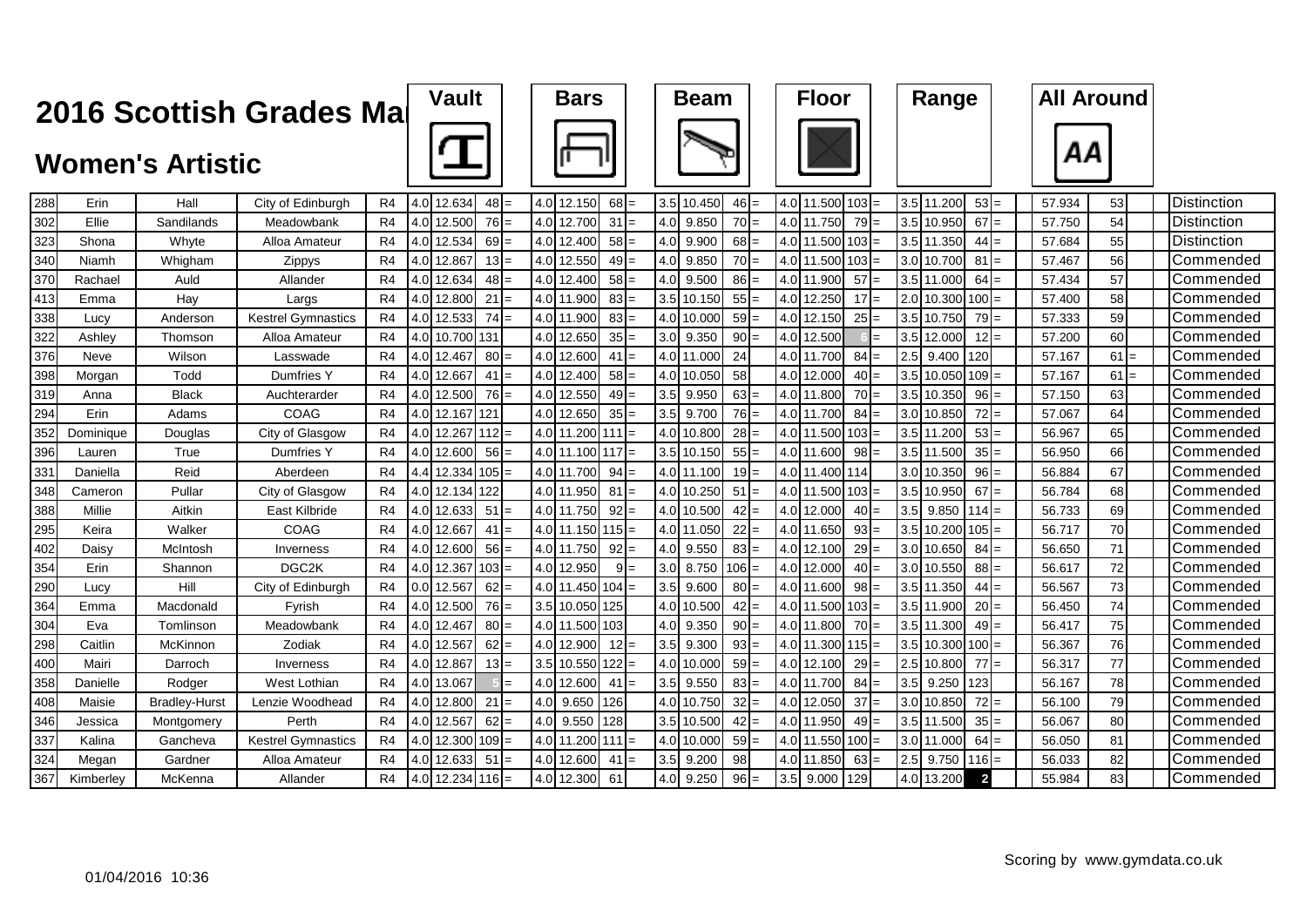|     |           | <b>2016 Scottish Grades Mal</b> |                           |                | <b>Vault</b>     |                    | <b>Bars</b> |                    |         | <b>Beam</b> |            |         | <b>Floor</b> |             |           | Range |             | <b>All Around</b> |        |    |        |                    |
|-----|-----------|---------------------------------|---------------------------|----------------|------------------|--------------------|-------------|--------------------|---------|-------------|------------|---------|--------------|-------------|-----------|-------|-------------|-------------------|--------|----|--------|--------------------|
|     |           | <b>Women's Artistic</b>         |                           |                |                  |                    |             |                    |         |             |            |         |              |             |           |       |             |                   |        | ΑА |        |                    |
| 288 | Erin      | Hall                            | City of Edinburgh         | R4             |                  | 4.0 12.634         | $48 =$      | 4.0 12.150         | $68 =$  |             | 3.5 10.450 | $46 =$  |              | 4.0 11.500  | 103       |       | 3.5 11.200  | $53 =$            | 57.934 | 53 |        | <b>Distinction</b> |
| 302 | Ellie     | Sandilands                      | Meadowbank                | R4             | 4.0              | 12.500             | $76 =$      | 4.0 12.700         | $31 =$  | 4.0         | 9.850      | $70 =$  |              | 4.0 11.750  | 79        | 3.5   | 10.950      | $67 =$            | 57.750 | 54 |        | Distinction        |
| 323 | Shona     | Whyte                           | Alloa Amateur             | R <sub>4</sub> |                  | 4.0 12.534         | $69 =$      | 4.0 12.400         | $58 =$  | 4.0         | 9.900      | $68 =$  |              | 4.0 11.500  | 103       |       | 3.5 11.350  | $44 =$            | 57.684 | 55 |        | Distinction        |
| 340 | Niamh     | Whigham                         | Zippys                    | R4             | 4.0              | 12.867             | $13 =$      | 4.0 12.550         | $49 =$  | 4.0         | 9.850      | $70 =$  |              | 4.0 11.500  | 103       |       | 3.0 10.700  | 81                | 57.467 | 56 |        | Commended          |
| 370 | Rachael   | Auld                            | Allander                  | R4             | 4.0              | 12.634             | $48 =$      | 4.0 12.400         | $58 =$  | 4.0         | 9.500      | $86 =$  |              | 4.0 11.900  | 57        | 3.5   | 11,000      | $64 =$            | 57.434 | 57 |        | Commended          |
| 413 | Emma      | Hay                             | Largs                     | R4             | 4.0              | 12.800             | $21 =$      | 4.0 11.900         | $83 =$  | 3.5         | 10.150     | $55 =$  | 4.0          | 12.250      | 17        |       | 2.0 10.300  | $100 =$           | 57.400 | 58 |        | Commended          |
| 338 | Lucy      | Anderson                        | <b>Kestrel Gymnastics</b> | R4             | 4.0 <sub>l</sub> | 12.533             | $74 =$      | 4.0 11.900         | $83 =$  | 4.0         | 10.00      | $59 =$  | 4.0          | 12.150      | 25<br>$=$ | 3.5   | 10.750      | $79 =$            | 57.333 | 59 |        | Commended          |
| 322 | Ashley    | Thomson                         | Alloa Amateur             | R <sub>4</sub> |                  | 4.0 10.700 131     |             | 4.0 12.650         | $35 =$  | 3.0         | 9.350      | $90 =$  |              | 4.0 12.500  |           |       | 3.5 12.000  | $12 =$            | 57.200 | 60 |        | Commended          |
| 376 | Neve      | Wilson                          | Lasswade                  | R4             |                  | 4.0 12.467         | 80:         | 4.0 12.600         | $41 =$  | 4.0         | 11.000     | 24      |              | 4.0 11.700  | 84        | 2.5   | 9.400       | 120               | 57.167 |    | $61 =$ | Commended          |
| 398 | Morgan    | Todd                            | Dumfries Y                | R4             |                  | 4.0 12.667         | $41$ :      | 4.0 12.400         | $58 =$  | 4.0         | 10.050     | 58      |              | 4.0 12.000  | $40 =$    |       | 3.5 10.050  | $109 =$           | 57.167 |    | $61 =$ | Commended          |
| 319 | Anna      | <b>Black</b>                    | Auchterarder              | R4             |                  | 4.0 12.500         | $76 =$      | 4.0 12.550         | $49 =$  | 3.5         | 9.950      | $63 =$  |              | 4.0 11.800  | 70        |       | 3.5 10.350  | $96 =$            | 57.150 | 63 |        | Commended          |
| 294 | Erin      | Adams                           | COAG                      | R4             |                  | 4.0 12.167 121     |             | 4.0 12.650         | $35 =$  | 3.5         | 9.700      | $76 =$  |              | 4.0 11.700  | 84        |       | 3.0 10.850  | $72 =$            | 57.067 | 64 |        | Commended          |
| 352 | Dominique | Douglas                         | City of Glasgow           | R4             |                  | 4.0 12.267 112     |             | 4.0 11.200         | $111 =$ | 4.0         | 10.800     | $28 =$  |              | 4.0 11.500  | 103       |       | 3.5 11.200  | $53 =$            | 56.967 | 65 |        | Commended          |
| 396 | Lauren    | True                            | Dumfries Y                | R4             |                  | 4.0 12.600         | 56:         | 4.0 11.100         | $117 =$ | 3.5         | 10.150     | $55 =$  |              | 4.0 11.600  | 98        |       | 3.5 11.50   | $35 =$            | 56.950 | 66 |        | Commended          |
| 331 | Daniella  | Reid                            | Aberdeen                  | R4             |                  | 4.4 12.334         | 105         | 4.0 11.700         | $94 =$  | 4.0         | 11.100     | $19 =$  |              | 4.0 11.400  | 114       |       | 3.0 10.350  | $96 -$            | 56.884 | 67 |        | Commended          |
| 348 | Cameron   | Pullar                          | City of Glasgow           | R <sub>4</sub> |                  | 4.0 12.134 122     |             | 4.0 11.950         | $81 =$  | 4.0         | 10.250     | $51 =$  |              | 4.0 11.500  | 103       |       | 3.5 10.950  | $67 =$            | 56.784 | 68 |        | Commended          |
| 388 | Millie    | Aitkin                          | East Kilbride             | R <sub>4</sub> |                  | 4.0 12.633         | $51 =$      | 4.0 11.750         | $92 =$  | 4.0         | 10.500     | $42 =$  |              | 4.0 12.000  | 40        | 3.5   | 9.850       | $114 =$           | 56.733 | 69 |        | Commended          |
| 295 | Keira     | Walker                          | COAG                      | R <sub>4</sub> |                  | 4.0 12.667         | $41 =$      | $4.0$ 11.150 115 = |         | 4.0         | 11.050     | $22 =$  |              | 4.0 11.650  | 93        |       | 3.5 10.200  | $105 =$           | 56.717 | 70 |        | Commended          |
| 402 | Daisy     | McIntosh                        | Inverness                 | R <sub>4</sub> |                  | 4.0 12.600         | $56 =$      | 4.0 11.750         | $92 =$  | 4.0         | 9.550      | $83 =$  |              | 4.0 12.100  | 29        |       | 3.0 10.650  | $84 =$            | 56.650 | 71 |        | Commended          |
| 354 | Erin      | Shannon                         | DGC <sub>2</sub> K        | R4             |                  | $4.0$ 12.367 103 = |             | 4.0 12.950         | $9 =$   | 3.0         | 8.750      | $106 =$ |              | 4.0 12.000  | 40        |       | 3.0 10.550  | $88 =$            | 56.617 | 72 |        | Commended          |
| 290 | Lucy      | Hill                            | City of Edinburgh         | R4             |                  | $0.0$ 12.567       | $62 =$      | $4.0$ 11.450 104 = |         | 3.5         | 9.600      | $80 =$  |              | 4.0 11.600  | 98        |       | 3.5 11.350  | $44 =$            | 56.567 | 73 |        | Commended          |
| 364 | Emma      | Macdonald                       | Fyrish                    | R4             |                  | 4.0 12.500         | $76 =$      | 3.5 10.050 125     |         | 4.0         | 10.500     | $42 =$  |              | 4.0 11.500  | 103       |       | 3.5 11.900  | $20 =$            | 56.450 | 74 |        | Commended          |
| 304 | Eva       | Tomlinson                       | Meadowbank                | R4             |                  | 4.0 12.467         | $80 =$      | 4.0 11.500 103     |         | 4.0         | 9.350      | $90 =$  |              | 4.0 11.800  | $70 =$    |       | 3.5 11.300  | $49 =$            | 56.417 | 75 |        | Commended          |
| 298 | Caitlin   | McKinnon                        | Zodiak                    | R4             |                  | 4.0 12.567         | $62 =$      | 4.0 12.900         | $12 =$  | 3.5         | 9.300      | $93 =$  |              | 4.0 11.300  | $115 =$   |       | 3.5 10.300  | $100 =$           | 56.367 | 76 |        | Commended          |
| 400 | Mairi     | Darroch                         | Inverness                 | R4             |                  | 4.0 12.867         | $13$ =      | $3.5$ 10.550 122 = |         | 4.0         | 10.000     | $59 =$  |              | 4.0 12.100  | 29        |       | 2.5 10.800  | $77 =$            | 56.317 | 77 |        | Commended          |
| 358 | Danielle  | Rodger                          | West Lothian              | R4             |                  | 4.0 13.067         |             | 4.0 12.600         | $41 =$  | 3.5         | 9.550      | $83 =$  |              | 4.0 11.700  | 84        |       | $3.5$ 9.250 | 123               | 56.167 | 78 |        | Commended          |
| 408 | Maisie    | <b>Bradley-Hurst</b>            | Lenzie Woodhead           | R4             |                  | 4.0 12.800         | 21          | $4.0$ 9.650        | 126     | 4.0         | 10.750     | $32$ =  |              | 4.0 12.050  | 37        |       | 3.0 10.850  | $72 =$            | 56.100 | 79 |        | Commended          |
| 346 | Jessica   | Montgomery                      | Perth                     | R4             |                  | 4.0 12.567         | 62          | 4.0 9.550          | 128     | 3.5         | 10.500     | $42 =$  |              | 4.0 11.950  | 49        |       | 3.5 11.500  | $35 =$            | 56.067 | 80 |        | Commended          |
| 337 | Kalina    | Gancheva                        | <b>Kestrel Gymnastics</b> | R4             |                  | 4.0 12.300         | 109         | 4.0 11.200         | 111     | 4.0         | 10.000     | $59 =$  |              | 4.0 11.550  | 100       |       | 3.0 11.000  | 64                | 56.050 | 81 |        | Commended          |
| 324 | Megan     | Gardner                         | Alloa Amateur             | R <sub>4</sub> |                  | 4.0 12.633         | 51          | 4.0 12.600         | 41      | 3.5         | 9.200      | 98      | 4.0          | 11.850      | 63        | 2.5   | 9.750       | $116$ :           | 56.033 | 82 |        | Commended          |
| 367 | Kimberley | McKenna                         | Allander                  | R <sub>4</sub> |                  | $4.0$ 12.234 116 = |             | 4.0 12.300         | 61      | 4.0         | 9.250      | $96 =$  |              | $3.5$ 9.000 | 129       |       | 4.0 13.200  | $\overline{2}$    | 55.984 | 83 |        | Commended          |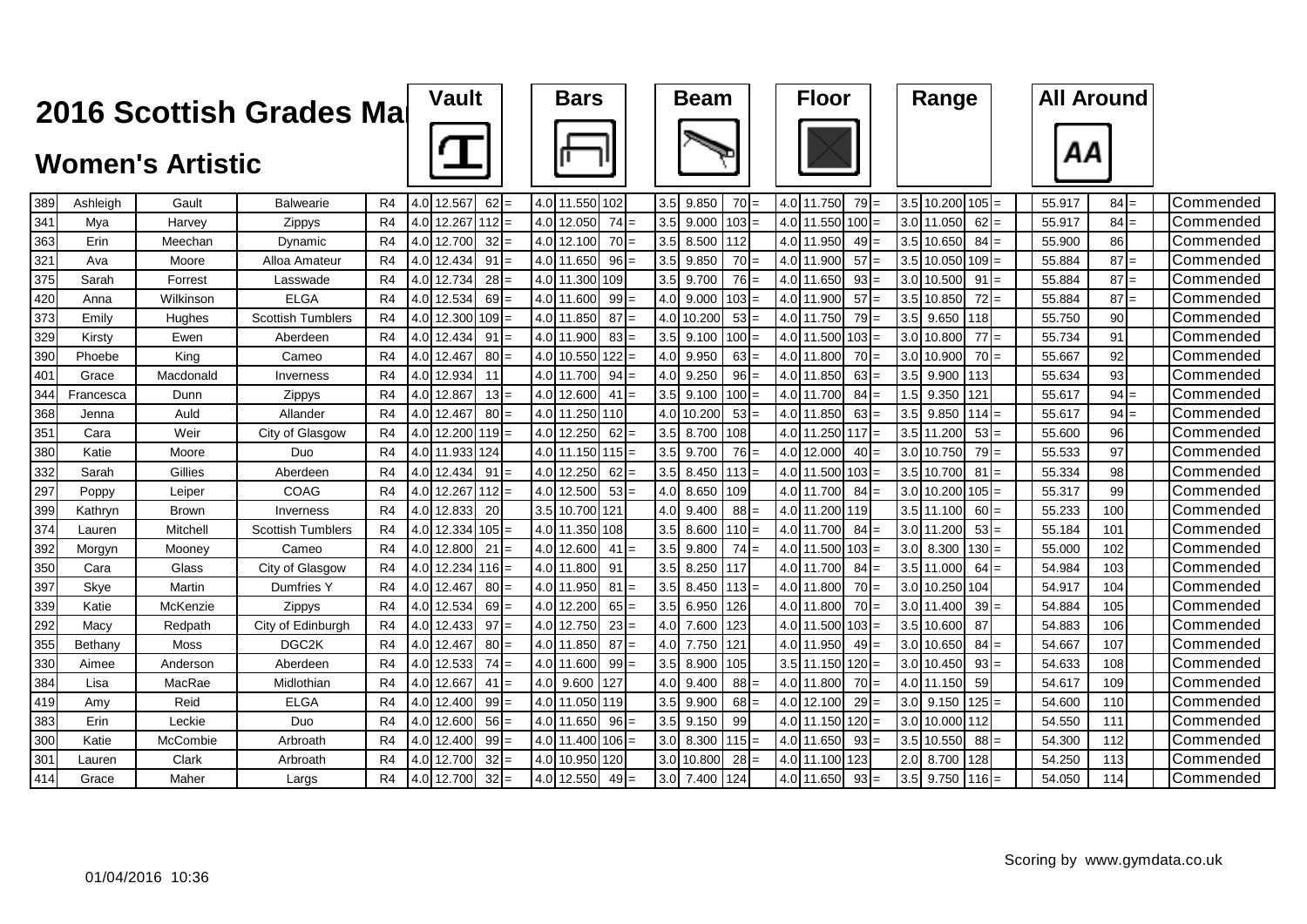|     |           |                         | 2016 Scottish Grades Mai |                | <b>Vault</b> |                    |                 | <b>Bars</b> |                    |         | <b>Beam</b> |            | <b>Floor</b> |               |                 | Range |                     |                 | <b>All Around</b> |        |        |                  |  |
|-----|-----------|-------------------------|--------------------------|----------------|--------------|--------------------|-----------------|-------------|--------------------|---------|-------------|------------|--------------|---------------|-----------------|-------|---------------------|-----------------|-------------------|--------|--------|------------------|--|
|     |           | <b>Women's Artistic</b> |                          |                |              |                    |                 |             |                    |         |             |            |              |               |                 |       |                     |                 |                   | ΑА     |        |                  |  |
| 389 | Ashleigh  | Gault                   | Balwearie                | R <sub>4</sub> |              | 4.0 12.567         | 62              |             | 4.0 11.550         | 102     | 3.5         | 9.850      | $70 =$       | 4.0 11.750    | $79 =$          |       | 3.5 10.200          | $105 =$         |                   | 55.917 | $84 =$ | <b>Commended</b> |  |
| 341 | Mya       | Harvey                  | Zippys                   | R <sub>4</sub> |              | 4.0 12.267 112     |                 |             | 4.0 12.050         | $74 =$  | 3.5         | 9.000      | $103 =$      | 4.0 11.550    | 100             |       | 3.0 11.050          | $62 =$          |                   | 55.917 | $84 =$ | Commended        |  |
| 363 | Erin      | Meechan                 | Dynamic                  | R <sub>4</sub> |              | 4.0 12.700         | 32 <sub>l</sub> |             | 4.0 12.100         | $70 =$  | 3.5         | 8.500      | 112          | 4.0 11.950    | $49 =$          |       | 3.5 10.650          | $84 =$          |                   | 55.900 | 86     | Commended        |  |
| 321 | Ava       | Moore                   | Alloa Amateur            | R <sub>4</sub> |              | 4.0 12.434         | 91              |             | 4.0 11.650         | $96 =$  | 3.5         | 9.850      | $70 =$       | 4.0 11.900    | 57              |       | 3.5 10.050          | $109 =$         |                   | 55.884 | 87     | lCommended       |  |
| 375 | Sarah     | Forrest                 | Lasswade                 | R <sub>4</sub> |              | 4.0 12.734         | 28:             |             | 4.0 11.300         | 109     | 3.5         | 9.700      | $76 =$       | 4.0 11.650    | 93 <sub>l</sub> |       | 3.0 10.500          | 91              |                   | 55.884 | 87     | <b>Commended</b> |  |
| 420 | Anna      | Wilkinson               | <b>ELGA</b>              | R <sub>4</sub> |              | 4.0 12.534         | 69              |             | 4.0 11.600         | $99$ =  | 4.0         | 9.000      | $103 =$      | 4.0 11.900    | 57              |       | 3.5 10.850          | 72              |                   | 55.884 | 87     | <b>Commended</b> |  |
| 373 | Emily     | Hughes                  | <b>Scottish Tumblers</b> | R <sub>4</sub> |              | 4.0 12.300         | 109I            |             | 4.0 11.850         | $87 =$  | 4.0         | 10.200     | $53 =$       | 4.0 11.750    | <b>79</b>       | 3.5   | 9.650               | 118             |                   | 55.750 | 90     | Commended        |  |
| 329 | Kirsty    | Ewen                    | Aberdeen                 | R <sub>4</sub> |              | 4.0 12.434         | 91              |             | 4.0 11.900         | $83 =$  | 3.5         | 9.100      | $100 =$      | 4.0 11.500    | 103             |       | 3.0 10.800          | 77              |                   | 55.734 | 91     | Commended        |  |
| 390 | Phoebe    | King                    | Cameo                    | R <sub>4</sub> |              | 4.0 12.467         | 80:             |             | 4.0 10.550         | $122 =$ | 4.0         | 9.950      | $63 =$       | 4.0 11.800    | $70 =$          |       | 3.0 10.900          | 70 <sup> </sup> |                   | 55.667 | 92     | Commended        |  |
| 401 | Grace     | Macdonald               | Inverness                | R <sub>4</sub> |              | 4.0 12.934         | 11              |             | 4.0 11.700         | $94 =$  | 4.0         | 9.250      | $96 =$       | 4.0 11.850    | $63 =$          | 3.5   | 9.900               | 113             |                   | 55.634 | 93     | Commended        |  |
| 344 | Francesca | Dunn                    | Zippys                   | R <sub>4</sub> |              | 4.0 12.867         | 13              |             | 4.0 12.600         | $41 =$  | 3.5         | 9.100      | $100 =$      | 4.0 11.700    | 84              | 1.5   | 9.350               | 121             |                   | 55.617 | 94     | lCommended       |  |
| 368 | Jenna     | Auld                    | Allander                 | R <sub>4</sub> |              | 4.0 12.467         | $80 =$          |             | 4.0 11.250 110     |         |             | 4.0 10.200 | $53 =$       | 4.0 11.850    | $63 =$          | 3.51  | 9.850               | $114 =$         |                   | 55.617 | 94     | <b>Commended</b> |  |
| 351 | Cara      | Weir                    | City of Glasgow          | R <sub>4</sub> |              | $4.0$ 12.200 119 = |                 |             | 4.0 12.250         | $62 =$  | 3.5         | 8.700      | 108          | 4.0 11.250    | 117             |       | 3.5 11.200          | 53              |                   | 55.600 | 96     | <b>Commended</b> |  |
| 380 | Katie     | Moore                   | Duo                      | R <sub>4</sub> |              | 4.0 11.933 124     |                 |             | $4.0$ 11.150 115 = |         | 3.5         | 9.700      | $76 =$       | 4.0 12.000    | $40 =$          |       | 3.0 10.750          | $79 =$          |                   | 55.533 | 97     | Commended        |  |
| 332 | Sarah     | Gillies                 | Aberdeen                 | R <sub>4</sub> |              | 4.0 12.434         | 91              |             | 4.0 12.250         | $62 =$  | 3.5         | 8.450      | $113 =$      | 4.0 11.500    | 103             |       | 3.5 10.700          | 81              |                   | 55.334 | 98     | <b>Commended</b> |  |
| 297 | Poppy     | Leiper                  | COAG                     | R <sub>4</sub> |              | $4.0$ 12.267 112 = |                 |             | 4.0 12.500         | $53 =$  | 4.0         | 8.650      | 109          | 4.0 11.700    | 84              |       | 3.0 10.200          | $105 =$         |                   | 55.317 | 99     | <b>Commended</b> |  |
| 399 | Kathryn   | <b>Brown</b>            | Inverness                | R <sub>4</sub> |              | 4.0 12.833         | 20              |             | 3.5 10.700         | 121     | 4.0         | 9.400      | $88 =$       | 4.0 11.200    | 119             |       | 3.5 11.100          | $60$ :          |                   | 55.233 | 100    | Commended        |  |
| 374 | Lauren    | Mitchell                | <b>Scottish Tumblers</b> | R <sub>4</sub> |              | 4.0 12.334 105     |                 |             | 4.0 11.350         | 108     | 3.5         | 8.600      | $110 =$      | 4.0 11.700    | 84              |       | 3.0 11.200          | 53              |                   | 55.184 | 101    | Commended        |  |
| 392 | Morgyn    | Mooney                  | Cameo                    | R <sub>4</sub> |              | 4.0 12.800         | 21              |             | 4.0 12.600         | 41      | 3.5         | 9.800      | $74 =$       | 4.0 11.500    | $103 =$         |       | $3.0$ 8.300         | $130$ :         |                   | 55.000 | 102    | Commended        |  |
| 350 | Cara      | Glass                   | City of Glasgow          | R4             |              | 4.0 12.234 116     |                 |             | 4.0 11.800         | 91      | 3.5         | 8.250      | 117          | 4.0 11.700    | 84              |       | 3.5 11.000          | 64              |                   | 54.984 | 103    | Commended        |  |
| 397 | Skye      | Martin                  | Dumfries Y               | R <sub>4</sub> |              | 4.0 12.467         | 80              |             | 4.0 11.950         | 81      | 3.5         | 8.450      | $113 =$      | 4.0 11.800    | $70 =$          |       | 3.0 10.250 104      |                 |                   | 54.917 | 104    | Commended        |  |
| 339 | Katie     | McKenzie                | Zippys                   | R4             |              | 4.0 12.534         | 69              |             | 4.0 12.200         | $65 =$  | 3.5         | 6.950      | 126          | 4.0 11.800    | $70 =$          |       | 3.0 11.400          | 39              |                   | 54.884 | 105    | Commended        |  |
| 292 | Macy      | Redpath                 | City of Edinburgh        | R4             |              | 4.0 12.433         | 97              |             | 4.0 12.750         | $23 =$  | 4.0         | 7.600      | 123          | 4.0 11.500    | 103             |       | 3.5 10.600          | 87              |                   | 54.883 | 106    | Commended        |  |
| 355 | Bethany   | Moss                    | DGC <sub>2</sub> K       | R <sub>4</sub> |              | 4.0 12.467         | 80              |             | 4.0 11.850         | $87 =$  | 4.0         | 7.750      | 121          | 4.0<br>11.950 | 49              |       | 3.0 10.650          | 84              |                   | 54.667 | 107    | Commended        |  |
| 330 | Aimee     | Anderson                | Aberdeen                 | R <sub>4</sub> | 4.0          | 12.533             | 74              |             | 4.0 11.600         | $99 =$  | 3.5         | 8.900      | 105          | 3.5<br>11.150 | 120             |       | 3.0 10.450          | 93              |                   | 54.633 | 108    | Commended        |  |
| 384 | Lisa      | MacRae                  | Midlothian               | R <sub>4</sub> |              | 4.0 12.667         | 41              |             | 4.0 9.600          | 127     | 4.0         | 9.400      | $88 =$       | 4.0 11.800    | 70              |       | 4.0 11.150          | 59              |                   | 54.617 | 109    | Commended        |  |
| 419 | Amy       | Reid                    | <b>ELGA</b>              | R <sub>4</sub> |              | 4.0 12.400         | 99:             |             | 4.0 11.050         | 119     | 3.5         | 9.900      | $68 =$       | 4.0<br>12.100 | 29              |       | $3.0$ 9.150         | 125             |                   | 54.600 | 110    | Commended        |  |
| 383 | Erin      | Leckie                  | Duo                      | R <sub>4</sub> |              | 4.0 12.600         | $56 =$          |             | 4.0 11.650         | $96 =$  | 3.5         | 9.150      | 99           | 4.0 11.150    | $120 =$         |       | 3.0 10.000 112      |                 |                   | 54.550 | 111    | Commended        |  |
| 300 | Katie     | McCombie                | Arbroath                 | R <sub>4</sub> |              | 4.0 12.400         | $99 =$          |             | 4.0 11.400         | $106 =$ | 3.0         | 8.300      | $115 =$      | 4.0 11.650    | 93              |       | 3.5 10.550          | 88:             |                   | 54.300 | 112    | Commended        |  |
| 301 | Lauren    | Clark                   | Arbroath                 | R <sub>4</sub> |              | 4.0 12.700         | 32              |             | 4.0 10.950         | 120     | 3.0         | 10.800     | 28           | 4.0 11.100    | 123             | 2.0   | 8.700               | 128             |                   | 54.250 | 113    | Commended        |  |
| 414 | Grace     | Maher                   | Largs                    | R4             |              | 4.0 12.700         | $32 =$          |             | 4.0 12.550         | $49 =$  |             | 3.0 7.400  | 124          | 4.0 11.650    | $93 =$          |       | $3.5$ 9.750 $116$ = |                 |                   | 54.050 | 114    | Commended        |  |